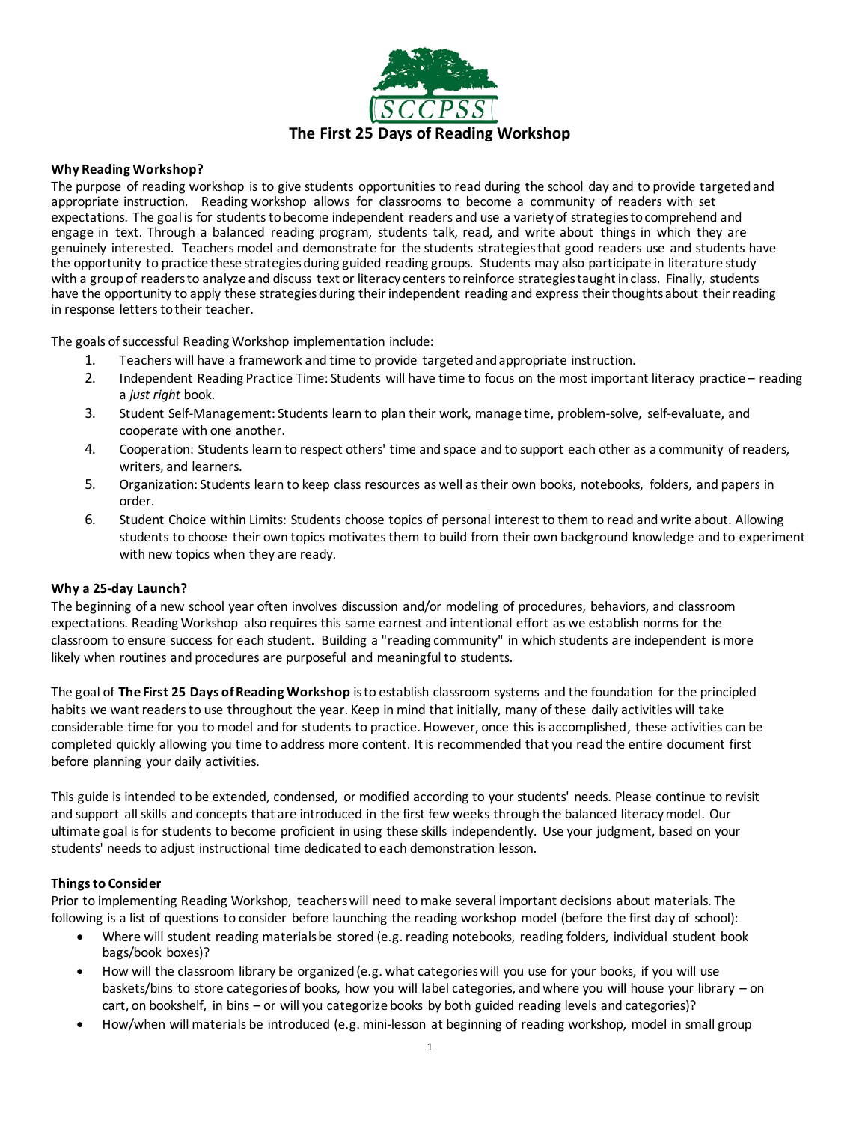

#### **Why Reading Workshop?**

The purpose of reading workshop is to give students opportunities to read during the school day and to provide targeted and appropriate instruction. Reading workshop allows for classrooms to become a community of readers with set expectations. The goal is for students to become independent readers and use a variety of strategies to comprehend and engage in text. Through a balanced reading program, students talk, read, and write about things in which they are genuinely interested. Teachers model and demonstrate for the students strategiesthat good readers use and students have the opportunity to practice these strategiesduring guided reading groups. Students may also participate in literature study with a group of readers to analyze and discuss text or literacy centers to reinforce strategies taught in class. Finally, students have the opportunity to apply these strategies during their independent reading and express their thoughts about their reading in response letters to their teacher.

The goals of successful Reading Workshop implementation include:

- 1. Teachers will have a framework and time to provide targeted and appropriate instruction.
- 2. Independent Reading Practice Time: Students will have time to focus on the most important literacy practice reading a *just right* book.
- 3. Student Self-Management: Students learn to plan their work, manage time, problem-solve, self-evaluate, and cooperate with one another.
- 4. Cooperation: Students learn to respect others' time and space and to support each other as a community of readers, writers, and learners.
- 5. Organization: Students learn to keep class resources as well as their own books, notebooks, folders, and papers in order.
- 6. Student Choice within Limits: Students choose topics of personal interest to them to read and write about. Allowing students to choose their own topics motivates them to build from their own background knowledge and to experiment with new topics when they are ready.

#### **Why a 25-day Launch?**

The beginning of a new school year often involves discussion and/or modeling of procedures, behaviors, and classroom expectations. Reading Workshop also requires this same earnest and intentional effort as we establish norms for the classroom to ensure success for each student. Building a "reading community" in which students are independent is more likely when routines and procedures are purposeful and meaningful to students.

The goal of **The First 25 Days of Reading Workshop** is to establish classroom systems and the foundation for the principled habits we want readers to use throughout the year. Keep in mind that initially, many of these daily activities will take considerable time for you to model and for students to practice. However, once this is accomplished, these activities can be completed quickly allowing you time to address more content. It is recommended that you read the entire document first before planning your daily activities.

This guide is intended to be extended, condensed, or modified according to your students' needs. Please continue to revisit and support all skills and concepts that are introduced in the first few weeks through the balanced literacy model. Our ultimate goal is for students to become proficient in using these skills independently. Use your judgment, based on your students' needs to adjust instructional time dedicated to each demonstration lesson.

#### **Things to Consider**

Prior to implementing Reading Workshop, teachers will need to make several important decisions about materials. The following is a list of questions to consider before launching the reading workshop model (before the first day of school):

- Where will student reading materials be stored (e.g. reading notebooks, reading folders, individual student book bags/book boxes)?
- How will the classroom library be organized(e.g. what categories will you use for your books, if you will use baskets/bins to store categories of books, how you will label categories, and where you will house your library – on cart, on bookshelf, in bins – or will you categorize books by both guided reading levels and categories)?
- How/when will materials be introduced (e.g. mini-lesson at beginning of reading workshop, model in small group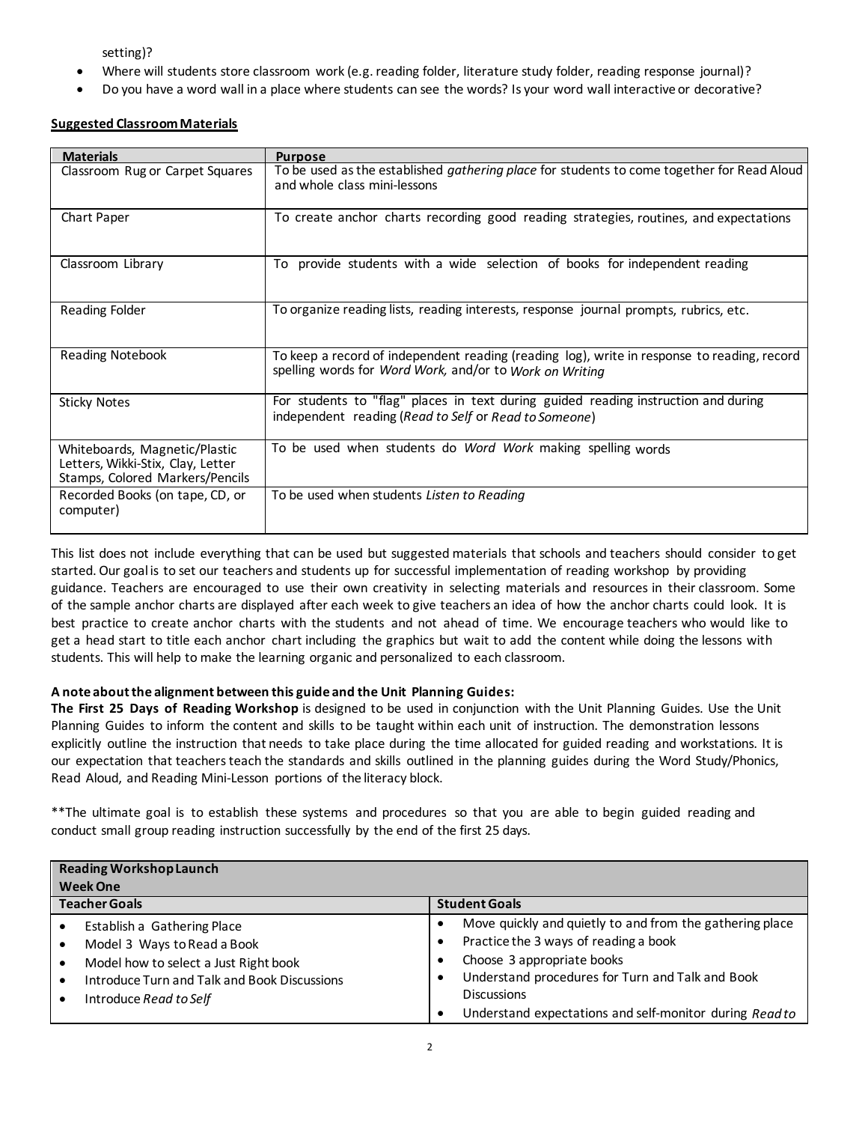setting)?

- Where will students store classroom work (e.g. reading folder, literature study folder, reading response journal)?
- Do you have a word wall in a place where students can see the words? Is your word wall interactive or decorative?

### **Suggested ClassroomMaterials**

| <b>Materials</b>                                                                                      | <b>Purpose</b>                                                                                                                                         |
|-------------------------------------------------------------------------------------------------------|--------------------------------------------------------------------------------------------------------------------------------------------------------|
| Classroom Rug or Carpet Squares                                                                       | To be used as the established gathering place for students to come together for Read Aloud<br>and whole class mini-lessons                             |
| Chart Paper                                                                                           | To create anchor charts recording good reading strategies, routines, and expectations                                                                  |
| Classroom Library                                                                                     | To provide students with a wide selection of books for independent reading                                                                             |
| Reading Folder                                                                                        | To organize reading lists, reading interests, response journal prompts, rubrics, etc.                                                                  |
| <b>Reading Notebook</b>                                                                               | To keep a record of independent reading (reading log), write in response to reading, record<br>spelling words for Word Work, and/or to Work on Writing |
| <b>Sticky Notes</b>                                                                                   | For students to "flag" places in text during guided reading instruction and during<br>independent reading (Read to Self or Read to Someone)            |
| Whiteboards, Magnetic/Plastic<br>Letters, Wikki-Stix, Clay, Letter<br>Stamps, Colored Markers/Pencils | To be used when students do Word Work making spelling words                                                                                            |
| Recorded Books (on tape, CD, or<br>computer)                                                          | To be used when students Listen to Reading                                                                                                             |

This list does not include everything that can be used but suggested materials that schools and teachers should consider to get started. Our goal is to set our teachers and students up for successful implementation of reading workshop by providing guidance. Teachers are encouraged to use their own creativity in selecting materials and resources in their classroom. Some of the sample anchor charts are displayed after each week to give teachers an idea of how the anchor charts could look. It is best practice to create anchor charts with the students and not ahead of time. We encourage teachers who would like to get a head start to title each anchor chart including the graphics but wait to add the content while doing the lessons with students. This will help to make the learning organic and personalized to each classroom.

### **A note about the alignment between this guide and the Unit Planning Guides:**

**The First 25 Days of Reading Workshop** is designed to be used in conjunction with the Unit Planning Guides. Use the Unit Planning Guides to inform the content and skills to be taught within each unit of instruction. The demonstration lessons explicitly outline the instruction that needs to take place during the time allocated for guided reading and workstations. It is our expectation that teachersteach the standards and skills outlined in the planning guides during the Word Study/Phonics, Read Aloud, and Reading Mini-Lesson portions of the literacy block.

\*\*The ultimate goal is to establish these systems and procedures so that you are able to begin guided reading and conduct small group reading instruction successfully by the end of the first 25 days.

| <b>Reading Workshop Launch</b><br><b>Week One</b>                                                                                                                                                                    |                                                                                                                                                                                                                                                                                |  |  |
|----------------------------------------------------------------------------------------------------------------------------------------------------------------------------------------------------------------------|--------------------------------------------------------------------------------------------------------------------------------------------------------------------------------------------------------------------------------------------------------------------------------|--|--|
| <b>Teacher Goals</b>                                                                                                                                                                                                 | <b>Student Goals</b>                                                                                                                                                                                                                                                           |  |  |
| Establish a Gathering Place<br>Model 3 Ways to Read a Book<br>Model how to select a Just Right book<br>$\bullet$<br>Introduce Turn and Talk and Book Discussions<br>$\bullet$<br>Introduce Read to Self<br>$\bullet$ | Move quickly and quietly to and from the gathering place<br>٠<br>Practice the 3 ways of reading a book<br>Choose 3 appropriate books<br>Understand procedures for Turn and Talk and Book<br>٠<br><b>Discussions</b><br>Understand expectations and self-monitor during Read to |  |  |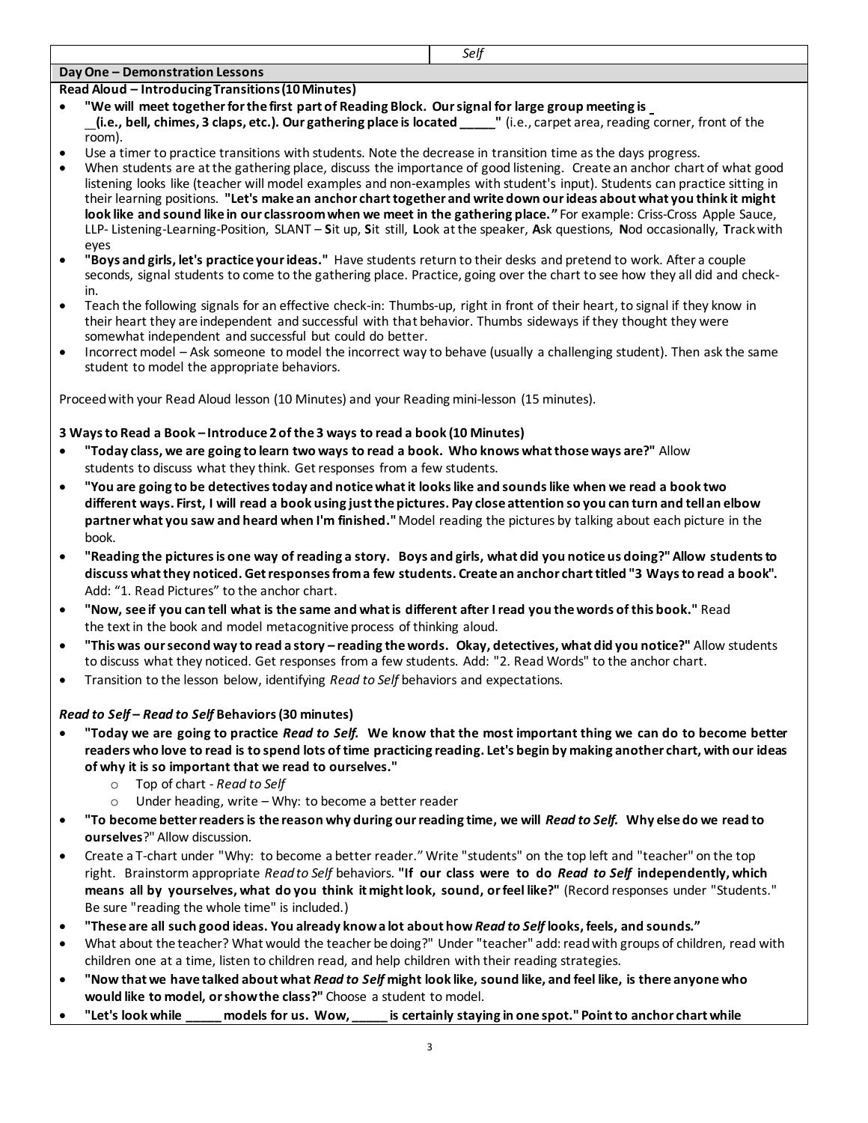# **Day One – Demonstration Lessons**

### **Read Aloud – Introducing Transitions (10 Minutes)**

- **"We will meet together for the first part of Reading Block. Our signal for large group meeting is (i.e., bell, chimes, 3 claps, etc.). Our gathering place is located \_\_\_\_\_"** (i.e., carpet area, reading corner, front of the room).
- Use a timer to practice transitions with students. Note the decrease in transition time as the days progress.
- When students are at the gathering place, discuss the importance of good listening. Create an anchor chart of what good listening looks like (teacher will model examples and non-examples with student's input). Students can practice sitting in their learning positions. **"Let's make an anchor chart together and write down our ideas about what you think it might look like and sound like in our classroom when we meet in the gathering place."** For example: Criss-Cross Apple Sauce, LLP- Listening-Learning-Position, SLANT – **S**it up, **S**it still, **L**ook at the speaker, **A**sk questions, **N**od occasionally, **T**rack with eyes
- **"Boys and girls, let's practice your ideas."** Have students return to their desks and pretend to work. After a couple seconds, signal students to come to the gathering place. Practice, going over the chart to see how they all did and checkin.
- Teach the following signals for an effective check-in: Thumbs-up, right in front of their heart, to signal if they know in their heart they are independent and successful with that behavior. Thumbs sideways if they thought they were somewhat independent and successful but could do better.
- Incorrect model Ask someone to model the incorrect way to behave (usually a challenging student). Then ask the same student to model the appropriate behaviors.

Proceedwith your Read Aloud lesson (10 Minutes) and your Reading mini-lesson (15 minutes).

### **3 Ways to Read a Book – Introduce 2 of the 3 ways to read a book (10 Minutes)**

- **"Today class, we are going to learn two ways to read a book. Who knows what those ways are?"** Allow students to discuss what they think. Get responses from a few students.
- **"You are going to be detectives today and notice what it looks like and sounds like when we read a book two different ways. First, I will read a book using just the pictures. Pay close attention so you can turn and tell an elbow partner what you saw and heard when I'm finished."**Model reading the pictures by talking about each picture in the book.
- **"Reading the pictures is one way of reading a story. Boys and girls, what did you notice us doing?" Allow students to discuss what they noticed. Get responses from a few students. Create an anchor chart titled "3 Ways to read a book".**  Add: "1. Read Pictures" to the anchor chart.
- **"Now, see if you can tell what is the same and what is different after I read you the words of this book."** Read the text in the book and model metacognitive process of thinking aloud.
- **"This was our second way to read a story – reading the words. Okay, detectives, what did you notice?"** Allow students to discuss what they noticed. Get responses from a few students. Add: "2. Read Words" to the anchor chart.
- Transition to the lesson below, identifying *Read to Self* behaviors and expectations.

# *Read to Self* **–** *Read to Self* **Behaviors (30 minutes)**

- **"Today we are going to practice** *Read to Self.* **We know that the most important thing we can do to become better readers who love to read is to spend lots of time practicing reading. Let's begin by making another chart, with our ideas of why it is so important that we read to ourselves."**
	- o Top of chart *Read to Self*
	- o Under heading, write Why: to become a better reader
- **"To become better readers is the reason why during our reading time, we will** *Read to Self.* **Why else do we read to ourselves**?" Allow discussion.
- Create a T-chart under "Why: to become a better reader." Write "students" on the top left and "teacher" on the top right. Brainstorm appropriate *Read to Self* behaviors. **"If our class were to do** *Read to Self* **independently, which means all by yourselves, what do you think it might look, sound, orfeel like?"** (Record responses under "Students." Be sure "reading the whole time" is included.)
- **"These are all such good ideas. You already know a lot about how** *Read to Self* **looks, feels, and sounds."**
- What about the teacher? What would the teacher be doing?" Under "teacher" add: read with groups of children, read with children one at a time, listen to children read, and help children with their reading strategies.
- **"Now that we have talked about what** *Read to Self* **might look like, sound like, and feel like, is there anyone who would like to model, or show the class?"** Choose a student to model.
- **"Let's look while \_\_\_\_\_ models for us. Wow, \_\_\_\_\_ is certainly staying in one spot." Point to anchor chart while**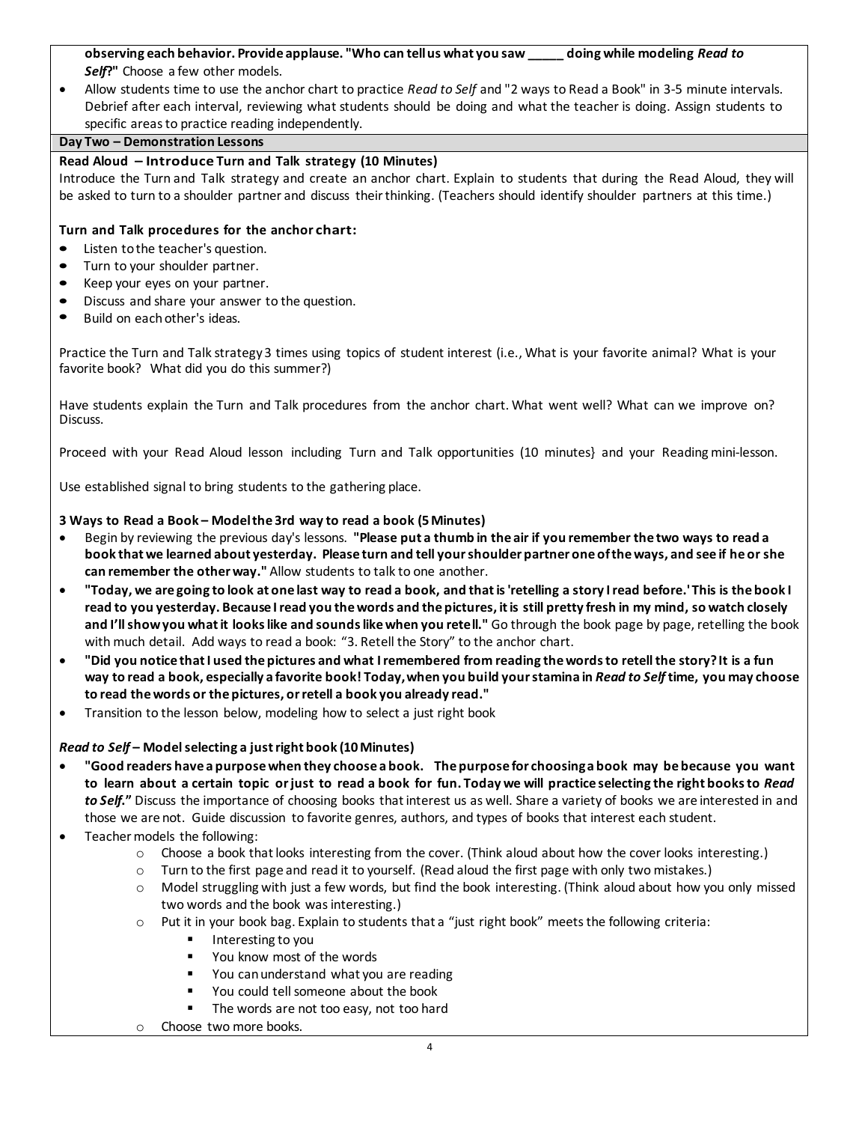**observing each behavior. Provide applause. "Who can tell us what you saw \_\_\_\_\_ doing while modeling** *Read to Self***?"** Choose a few other models.

 Allow students time to use the anchor chart to practice *Read to Self* and "2 ways to Read a Book" in 3-5 minute intervals. Debrief after each interval, reviewing what students should be doing and what the teacher is doing. Assign students to specific areas to practice reading independently.

## **Day Two – Demonstration Lessons**

### **Read Aloud – Introduce Turn and Talk strategy (10 Minutes)**

Introduce the Turn and Talk strategy and create an anchor chart. Explain to students that during the Read Aloud, they will be asked to turn to a shoulder partner and discuss theirthinking. (Teachers should identify shoulder partners at this time.)

### **Turn and Talk procedures for the anchor chart:**

- **•** Listen tothe teacher's question.
- **•** Turn to your shoulder partner.
- **•** Keep your eyes on your partner.
- **•** Discuss and share your answer to the question.
- **•** Build on eachother's ideas.

Practice the Turn and Talk strategy 3 times using topics of student interest (i.e., What is your favorite animal? What is your favorite book? What did you do this summer?)

Have students explain the Turn and Talk procedures from the anchor chart. What went well? What can we improve on? Discuss.

Proceed with your Read Aloud lesson including Turn and Talk opportunities (10 minutes} and your Reading mini-lesson.

Use established signal to bring students to the gathering place.

### **3 Ways to Read a Book – Modelthe 3rd way to read a book (5 Minutes)**

- Begin by reviewing the previous day's lessons. **"Please put a thumb in the air if you remember the two ways to read a book that we learned about yesterday. Please turn and tell your shoulder partner one of the ways, and see if he or she can remember the other way."** Allow students to talk to one another.
- **"Today, we are going to look at one last way to read a book, and that is 'retelling a story I read before.' This is the book I read to you yesterday. Because I read you the words and the pictures, it is still pretty fresh in my mind, so watch closely and I'll show you what it looks like and sounds like when you retell."** Go through the book page by page, retelling the book with much detail. Add ways to read a book: "3. Retell the Story" to the anchor chart.
- **"Did you notice that I used the pictures and what I remembered from reading the words to retell the story? It is a fun way to read a book, especially a favorite book! Today, when you build your stamina in** *Read to Self* **time, you may choose to read the words or the pictures, or retell a book you already read."**
- Transition to the lesson below, modeling how to select a just right book

### *Read to Self* **– Model selecting a just right book (10 Minutes)**

- **"Good readers have a purpose when they choose a book. The purpose for choosing a book may be because you want to learn about a certain topic or just to read a book for fun. Today we will practice selecting the right books to** *Read to Self***."** Discuss the importance of choosing books that interest us as well. Share a variety of books we are interested in and those we are not. Guide discussion to favorite genres, authors, and types of books that interest each student.
- Teacher models the following:
	- $\circ$  Choose a book that looks interesting from the cover. (Think aloud about how the cover looks interesting.)
	- $\circ$  Turn to the first page and read it to yourself. (Read aloud the first page with only two mistakes.)
	- $\circ$  Model struggling with just a few words, but find the book interesting. (Think aloud about how you only missed two words and the book was interesting.)
	- o Put it in your book bag. Explain to students that a "just right book" meets the following criteria:
		- **I** Interesting to you
		- You know most of the words
		- You can understand what you are reading
		- You could tell someone about the book
		- The words are not too easy, not too hard
	- o Choose two more books.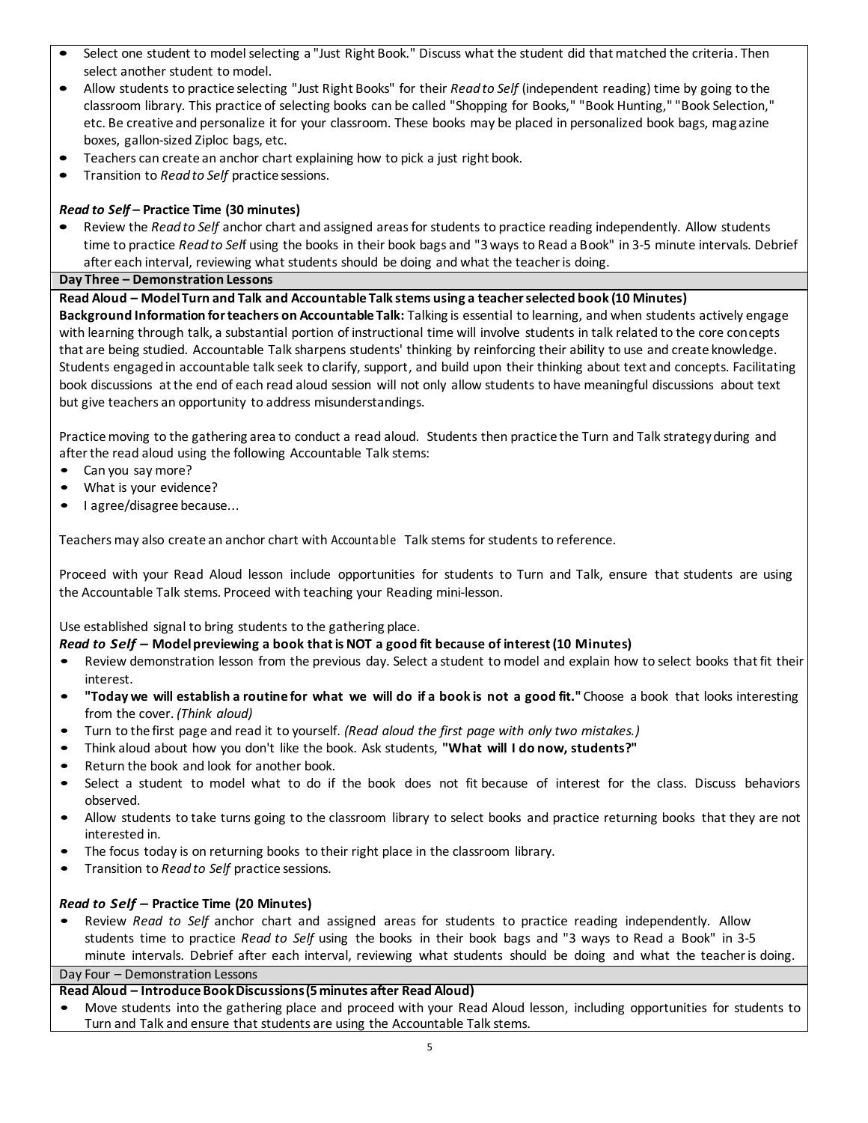- **•** Select one student to model selecting a "Just Right Book." Discuss what the student did that matched the criteria. Then select another student to model.
- **•** Allow students to practice selecting "Just Right Books" for their *Read to Self* (independent reading) time by going to the classroom library. This practice of selecting books can be called "Shopping for Books," "Book Hunting," "Book Selection," etc. Be creative and personalize it for your classroom. These books may be placed in personalized book bags, magazine boxes, gallon-sized Ziploc bags, etc.
- **•** Teachers can create an anchor chart explaining how to pick a just right book.
- **•** Transition to *Read to Self* practice sessions.

### *Read to Self* **– Practice Time (30 minutes)**

**•** Review the *Read to Self* anchor chart and assigned areas for students to practice reading independently. Allow students time to practice *Read to Sel*f using the books in their book bags and "3 ways to Read a Book" in 3-5 minute intervals. Debrief after each interval, reviewing what students should be doing and what the teacher is doing.

### **Day Three – Demonstration Lessons**

**Read Aloud – Model Turn and Talk and Accountable Talk stems using a teacher selected book (10 Minutes)**

**Background Information for teachers on Accountable Talk:** Talking is essential to learning, and when students actively engage with learning through talk, a substantial portion of instructional time will involve students in talk related to the core concepts that are being studied. Accountable Talk sharpens students' thinking by reinforcing their ability to use and create knowledge. Students engaged in accountable talk seek to clarify, support, and build upon their thinking about text and concepts. Facilitating book discussions at the end of each read aloud session will not only allow students to have meaningful discussions about text but give teachers an opportunity to address misunderstandings.

Practice moving to the gathering area to conduct a read aloud. Students then practice the Turn and Talk strategy during and after the read aloud using the following Accountable Talk stems:

- Can you say more?
- What is your evidence?
- I agree/disagree because...

Teachers may also create an anchor chart with Accountable Talk stems for students to reference.

Proceed with your Read Aloud lesson include opportunities for students to Turn and Talk, ensure that students are using the Accountable Talk stems. Proceed with teaching your Reading mini-lesson.

Use established signal to bring students to the gathering place.

### *Read to Self –* **Modelpreviewing a book thatis NOT a good fit because of interest(10 Minutes)**

- Review demonstration lesson from the previous day. Select <sup>a</sup> student to model and explain how to select books that fit their interest.
- **"Today we will establish <sup>a</sup> routine for what we will do if <sup>a</sup> book is not <sup>a</sup> good fit."** Choose <sup>a</sup> book that looks interesting from the cover. *(Think aloud)*
- Turn to the first page and read it to yourself. *(Read aloud the first page with only two mistakes.)*
- Think aloud about how you don't like the book. Ask students, **"What will I do now, students?"**
- Return the book and look for another book.
- Select <sup>a</sup> student to model what to do if the book does not fit because of interest for the class. Discuss behaviors observed.
- Allow students to take turns going to the classroom library to select books and practice returning books that they are not interested in.
- The focus today is on returning books to their right place in the classroom library.
- Transition to *Read to Self* practice sessions.

### *Read to Self –* **Practice Time (20 Minutes)**

• Review *Read to Self* anchor chart and assigned areas for students to practice reading independently. Allow students time to practice *Read to Self* using the books in their book bags and "3 ways to Read a Book" in 3-5 minute intervals. Debrief after each interval, reviewing what students should be doing and what the teacher is doing.

Day Four – Demonstration Lessons

### **Read Aloud – Introduce Book Discussions (5 minutes after Read Aloud)**

• Move students into the gathering place and proceed with your Read Aloud lesson, including opportunities for students to Turn and Talk and ensure that students are using the Accountable Talk stems.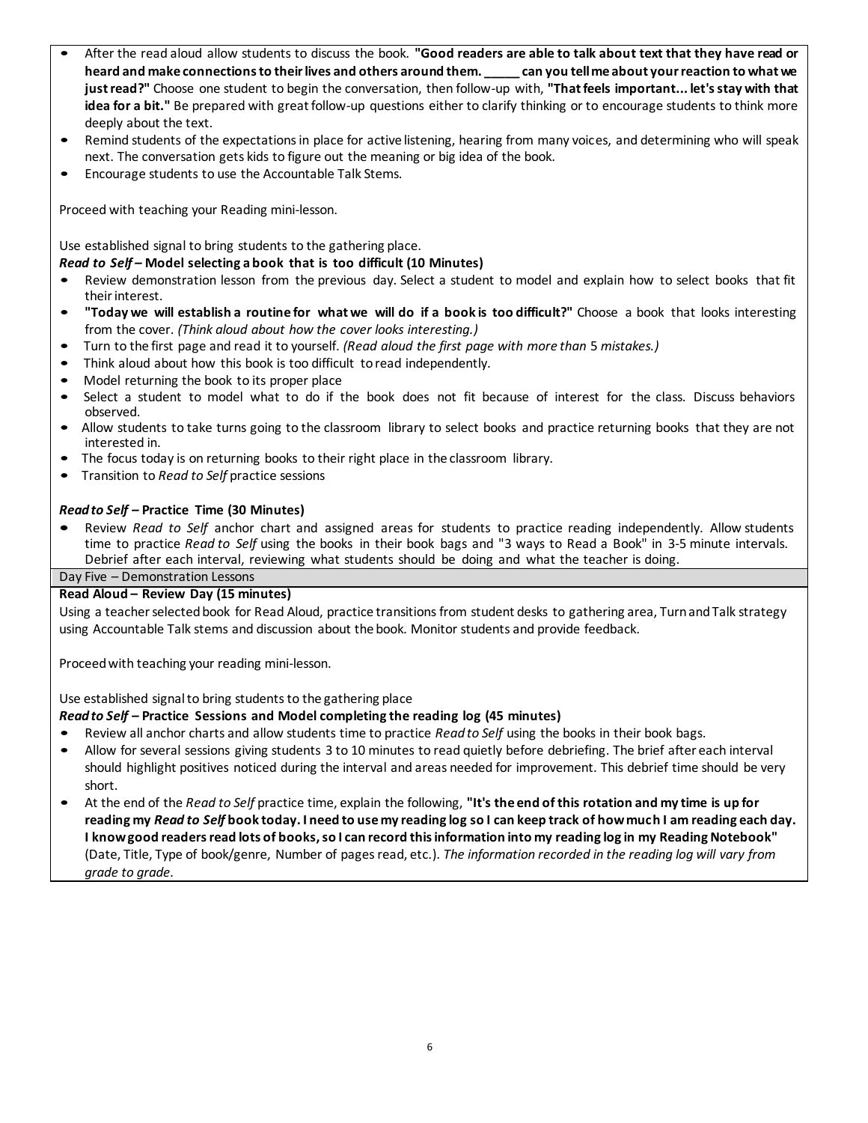- After the read aloud allow students to discuss the book. **"Good readers are able to talk about text that they have read or heard and make connections to their lives and others around them. \_\_\_\_\_ can you tell me about your reaction to what we just read?"** Choose one student to begin the conversation, then follow-up with, **"That feels important... let's stay with that idea for a bit."** Be prepared with great follow-up questions either to clarify thinking or to encourage students to think more deeply about the text.
- Remind students of the expectations in place for active listening, hearing from many voices, and determining who will speak next. The conversation gets kids to figure out the meaning or big idea of the book.
- Encourage students to use the Accountable Talk Stems.

Proceed with teaching your Reading mini-lesson.

Use established signal to bring students to the gathering place.

### *Read to Self –* **Model selecting a book that is too difficult (10 Minutes)**

- Review demonstration lesson from the previous day. Select a student to model and explain how to select books that fit theirinterest.
- **"Today we will establish <sup>a</sup> routine for what we will do if <sup>a</sup> book is too difficult?"** Choose <sup>a</sup> book that looks interesting from the cover. *(Think aloud about how the cover looks interesting.)*
- Turn to the first page and read it to yourself. *(Read aloud the first page with more than* <sup>5</sup>*mistakes.)*
- Think aloud about how this book is too difficult to read independently.
- Model returning the book to its proper place
- Select <sup>a</sup> student to model what to do if the book does not fit because of interest for the class. Discuss behaviors observed.
- Allow students to take turns going to the classroom library to select books and practice returning books that they are not interested in.
- The focus today is on returning books to their right place in the classroom library.
- Transition to *Read to Self* practice sessions

### *Readto Self –* **Practice Time (30 Minutes)**

**•** Review *Read to Self* anchor chart and assigned areas for students to practice reading independently. Allow students time to practice *Read to Self* using the books in their book bags and "3 ways to Read a Book" in 3-5 minute intervals. Debrief after each interval, reviewing what students should be doing and what the teacher is doing.

Day Five – Demonstration Lessons

### **Read Aloud – Review Day (15 minutes)**

Using a teacher selected book for Read Aloud, practice transitions from student desks to gathering area, Turn and Talk strategy using Accountable Talk stems and discussion about the book. Monitor students and provide feedback.

Proceed with teaching your reading mini-lesson.

# Use established signal to bring students to the gathering place

### *Readto Self –* **Practice Sessions and Model completing the reading log (45 minutes)**

- Review all anchor charts and allow students time to practice *Read to Self* using the books in their book bags.
- Allow for several sessions giving students 3 to 10 minutes to read quietly before debriefing. The brief after each interval should highlight positives noticed during the interval and areas needed for improvement. This debrief time should be very short.
- At the end of the *Read to Self* practice time, explain the following, **"It's the end of this rotation and my time is up for reading my** *Read to Self* **book today. I need to use my reading log so I can keep track of how much I am reading each day. I knowgood readers read lots of books, so I can record this information into my reading log in my Reading Notebook"** (Date, Title, Type of book/genre, Number of pages read, etc.). *The information recorded in the reading log will vary from grade to grade.*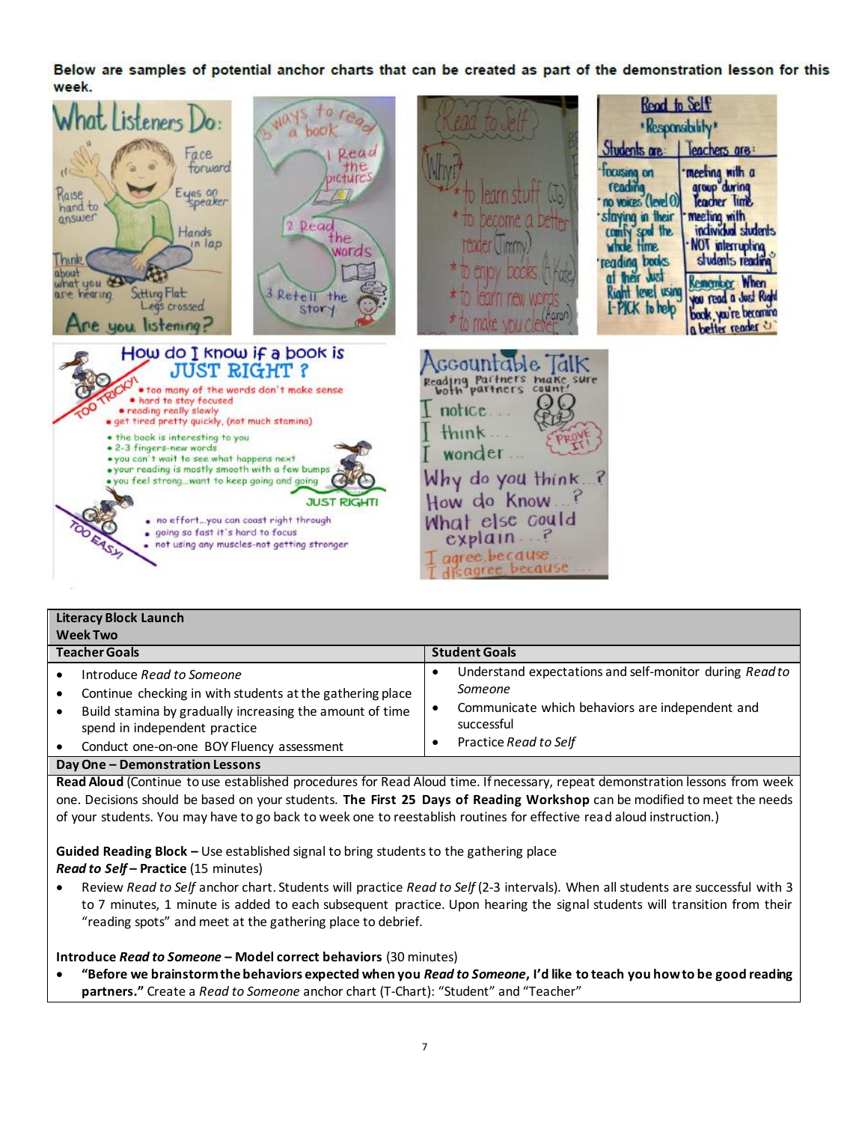Below are samples of potential anchor charts that can be created as part of the demonstration lesson for this week.



| <b>Literacy Block Launch</b>                                                                                                                                                                                                     |                                                                                                                                                              |  |  |  |
|----------------------------------------------------------------------------------------------------------------------------------------------------------------------------------------------------------------------------------|--------------------------------------------------------------------------------------------------------------------------------------------------------------|--|--|--|
| <b>Week Two</b>                                                                                                                                                                                                                  |                                                                                                                                                              |  |  |  |
| <b>Teacher Goals</b>                                                                                                                                                                                                             | <b>Student Goals</b>                                                                                                                                         |  |  |  |
| Introduce Read to Someone<br>Continue checking in with students at the gathering place<br>Build stamina by gradually increasing the amount of time<br>spend in independent practice<br>Conduct one-on-one BOY Fluency assessment | Understand expectations and self-monitor during Read to<br>Someone<br>Communicate which behaviors are independent and<br>successful<br>Practice Read to Self |  |  |  |
| Day One - Demonstration Lessons                                                                                                                                                                                                  |                                                                                                                                                              |  |  |  |

**Read Aloud** (Continue to use established procedures for Read Aloud time. If necessary, repeat demonstration lessons from week one. Decisions should be based on your students. **The First 25 Days of Reading Workshop** can be modified to meet the needs of your students. You may have to go back to week one to reestablish routines for effective read aloud instruction.)

**Guided Reading Block –** Use established signal to bring students to the gathering place *Read to Self* **– Practice** (15 minutes)

 Review *Read to Self* anchor chart. Students will practice *Read to Self* (2-3 intervals). When all students are successful with 3 to 7 minutes, 1 minute is added to each subsequent practice. Upon hearing the signal students will transition from their "reading spots" and meet at the gathering place to debrief.

**Introduce** *Read to Someone* **– Model correct behaviors** (30 minutes)

п

 **"Before we brainstorm the behaviors expected when you** *Read to Someone***, I'd like to teach you how to be good reading partners."** Create a *Read to Someone* anchor chart (T-Chart): "Student" and "Teacher"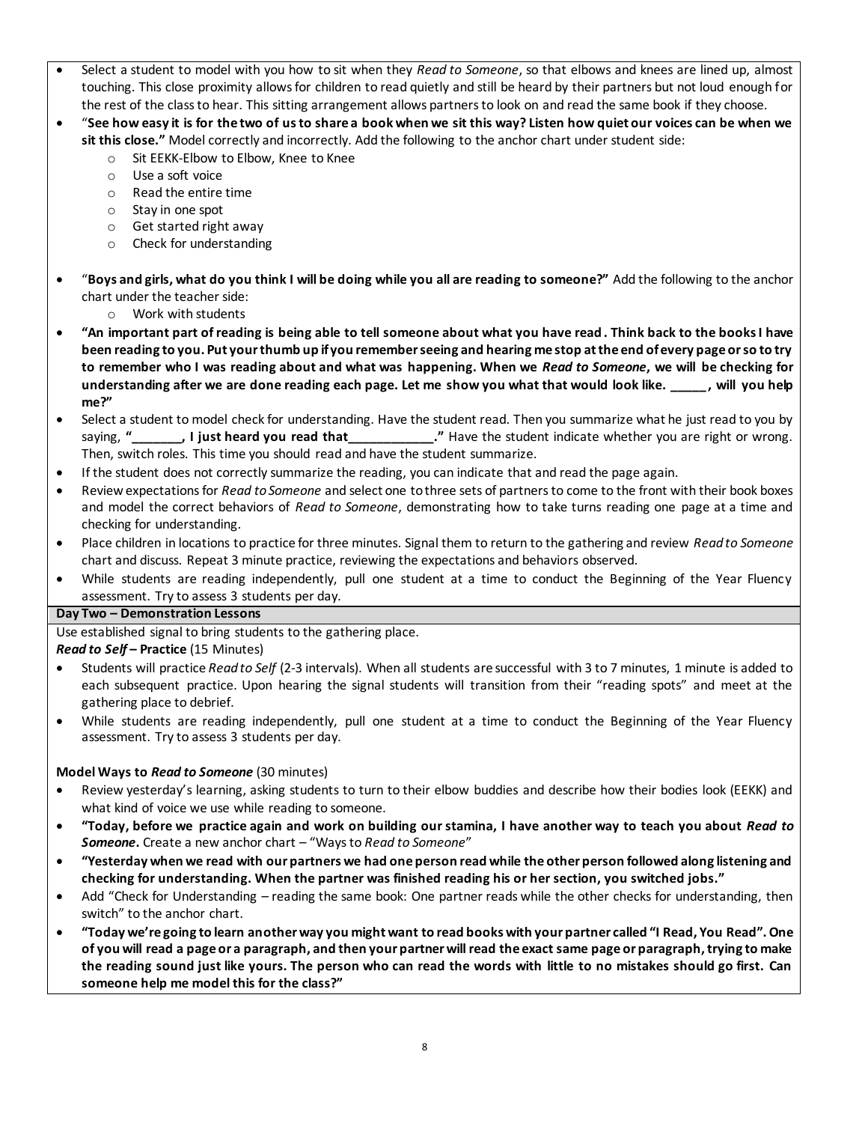- Select a student to model with you how to sit when they *Read to Someone*, so that elbows and knees are lined up, almost touching. This close proximity allows for children to read quietly and still be heard by their partners but not loud enough for the rest of the class to hear. This sitting arrangement allows partners to look on and read the same book if they choose.
- "**See how easy it is for the two of us to share a book when we sit this way? Listen how quiet our voices can be when we sit this close."** Model correctly and incorrectly. Add the following to the anchor chart under student side:
	- o Sit EEKK-Elbow to Elbow, Knee to Knee
	- o Use a soft voice
	- o Read the entire time
	- o Stay in one spot
	- o Get started right away
	- o Check for understanding
- "**Boys and girls, what do you think I will be doing while you all are reading to someone?"** Add the following to the anchor chart under the teacher side:
	- o Work with students
- **"An important part of reading is being able to tell someone about what you have read . Think back to the books I have been reading to you. Put your thumb up if you remember seeing and hearing me stop at the end of every page or so to try to remember who I was reading about and what was happening. When we** *Read to Someone***, we will be checking for understanding after we are done reading each page. Let me show you what that would look like. \_\_\_\_\_, will you help me?"**
- Select a student to model check for understanding. Have the student read. Then you summarize what he just read to you by saying, **"\_\_\_\_\_\_\_, I just heard you read that\_\_\_\_\_\_\_\_\_\_\_\_."** Have the student indicate whether you are right or wrong. Then, switch roles. This time you should read and have the student summarize.
- If the student does not correctly summarize the reading, you can indicate that and read the page again.
- Review expectations for *Read to Someone* and select one to three sets of partners to come to the front with their book boxes and model the correct behaviors of *Read to Someone*, demonstrating how to take turns reading one page at a time and checking for understanding.
- Place children in locations to practice for three minutes. Signal them to return to the gathering and review *Read to Someone*  chart and discuss. Repeat 3 minute practice, reviewing the expectations and behaviors observed.
- While students are reading independently, pull one student at a time to conduct the Beginning of the Year Fluency assessment. Try to assess 3 students per day.

# **Day Two – Demonstration Lessons**

Use established signal to bring students to the gathering place.

*Read to Self* **– Practice** (15 Minutes)

- Students will practice *Read to Self* (2-3 intervals). When all students are successful with 3 to 7 minutes, 1 minute is added to each subsequent practice. Upon hearing the signal students will transition from their "reading spots" and meet at the gathering place to debrief.
- While students are reading independently, pull one student at a time to conduct the Beginning of the Year Fluency assessment. Try to assess 3 students per day.

# **Model Ways to** *Read to Someone* (30 minutes)

- Review yesterday's learning, asking students to turn to their elbow buddies and describe how their bodies look (EEKK) and what kind of voice we use while reading to someone.
- **"Today, before we practice again and work on building our stamina, I have another way to teach you about** *Read to Someone***.** Create a new anchor chart – "Ways to *Read to Someone*"
- **"Yesterday when we read with our partners we had one person read while the other person followed along listening and checking for understanding. When the partner was finished reading his or her section, you switched jobs."**
- Add "Check for Understanding reading the same book: One partner reads while the other checks for understanding, then switch" to the anchor chart.
- **"Today we're going to learn another way you might want to read books with your partner called "I Read, You Read". One of you will read a page or a paragraph, and then your partner will read the exact same page or paragraph, trying to make the reading sound just like yours. The person who can read the words with little to no mistakes should go first. Can someone help me model this for the class?"**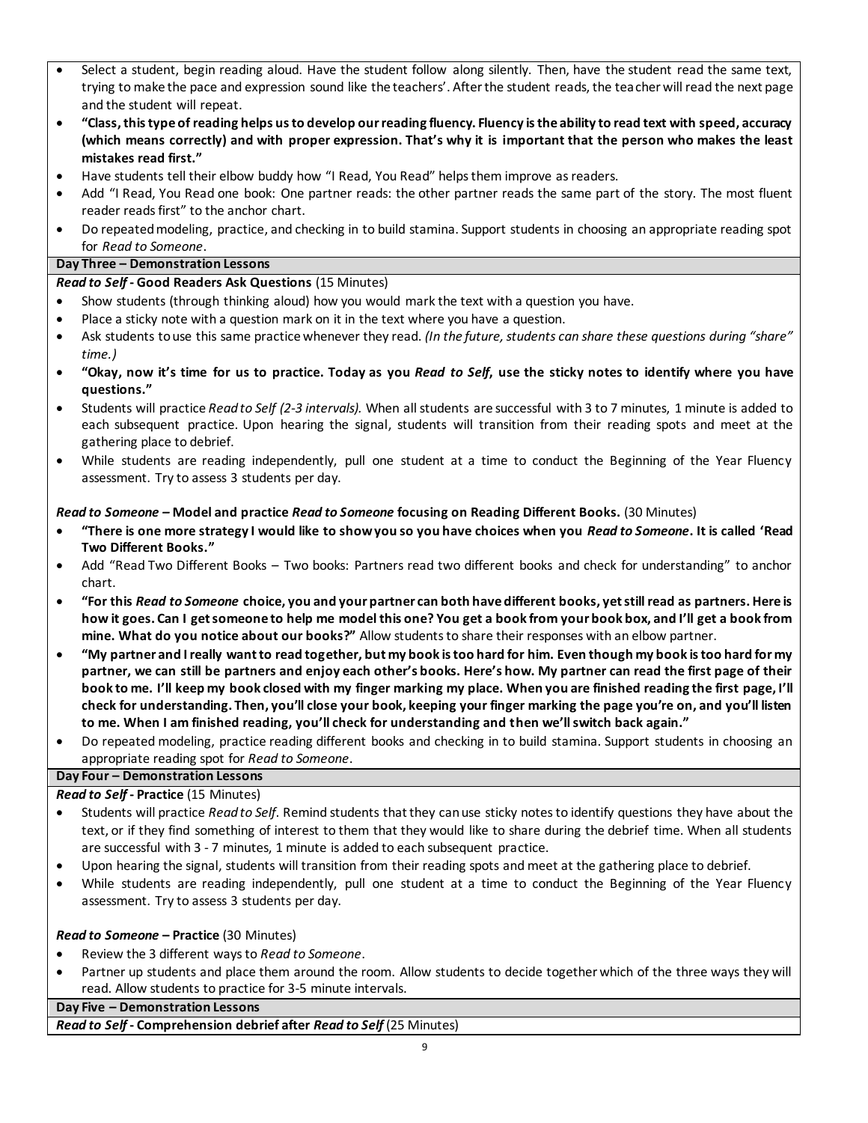- Select a student, begin reading aloud. Have the student follow along silently. Then, have the student read the same text, trying to make the pace and expression sound like the teachers'. After the student reads, the teacher will read the next page and the student will repeat.
- **"Class,this type of reading helps us to develop our reading fluency. Fluency is the ability to read text with speed, accuracy (which means correctly) and with proper expression. That's why it is important that the person who makes the least mistakes read first."**
- Have students tell their elbow buddy how "I Read, You Read" helps them improve as readers.
- Add "I Read, You Read one book: One partner reads: the other partner reads the same part of the story. The most fluent reader reads first" to the anchor chart.
- Do repeated modeling, practice, and checking in to build stamina. Support students in choosing an appropriate reading spot for *Read to Someone*.

### **Day Three – Demonstration Lessons**

# *Read to Self* **- Good Readers Ask Questions** (15 Minutes)

- Show students (through thinking aloud) how you would mark the text with a question you have.
- Place a sticky note with a question mark on it in the text where you have a question.
- Ask students to use this same practice whenever they read. *(In the future, students can share these questions during "share" time.)*
- **"Okay, now it's time for us to practice. Today as you** *Read to Self***, use the sticky notes to identify where you have questions."**
- Students will practice *Read to Self (2-3 intervals).* When all students are successful with 3 to 7 minutes, 1 minute is added to each subsequent practice. Upon hearing the signal, students will transition from their reading spots and meet at the gathering place to debrief.
- While students are reading independently, pull one student at a time to conduct the Beginning of the Year Fluency assessment. Try to assess 3 students per day.

### *Read to Someone –* **Model and practice** *Read to Someone* **focusing on Reading Different Books.** (30 Minutes)

- **"There is one more strategy I would like to show you so you have choices when you** *Read to Someone***. It is called 'Read Two Different Books."**
- Add "Read Two Different Books Two books: Partners read two different books and check for understanding" to anchor chart.
- **"For this** *Read to Someone* **choice, you and your partner can both have different books, yet still read as partners. Here is how it goes. Can I get someone to help me model this one? You get a book from your book box, and I'll get a book from mine. What do you notice about our books?"** Allow students to share their responses with an elbow partner.
- **"My partner and I really want to read together, but my book is too hard for him. Even though my book is too hard for my partner, we can still be partners and enjoy each other's books. Here's how. My partner can read the first page of their book to me. I'll keep my book closed with my finger marking my place. When you are finished reading the first page, I'll check for understanding. Then, you'll close your book, keeping your finger marking the page you're on, and you'll listen to me. When I am finished reading, you'll check for understanding and then we'll switch back again."**
- Do repeated modeling, practice reading different books and checking in to build stamina. Support students in choosing an appropriate reading spot for *Read to Someone*.

# **Day Four – Demonstration Lessons**

# *Read to Self* **- Practice** (15 Minutes)

- Students will practice *Read to Self*. Remind students that they can use sticky notes to identify questions they have about the text, or if they find something of interest to them that they would like to share during the debrief time. When all students are successful with 3 - 7 minutes, 1 minute is added to each subsequent practice.
- Upon hearing the signal, students will transition from their reading spots and meet at the gathering place to debrief.
- While students are reading independently, pull one student at a time to conduct the Beginning of the Year Fluency assessment. Try to assess 3 students per day.

### *Read to Someone* **– Practice** (30 Minutes)

- Review the 3 different ways to *Read to Someone*.
- Partner up students and place them around the room. Allow students to decide together which of the three ways they will read. Allow students to practice for 3-5 minute intervals.

### **Day Five – Demonstration Lessons**

*Read to Self* **- Comprehension debrief after** *Read to Self* (25 Minutes)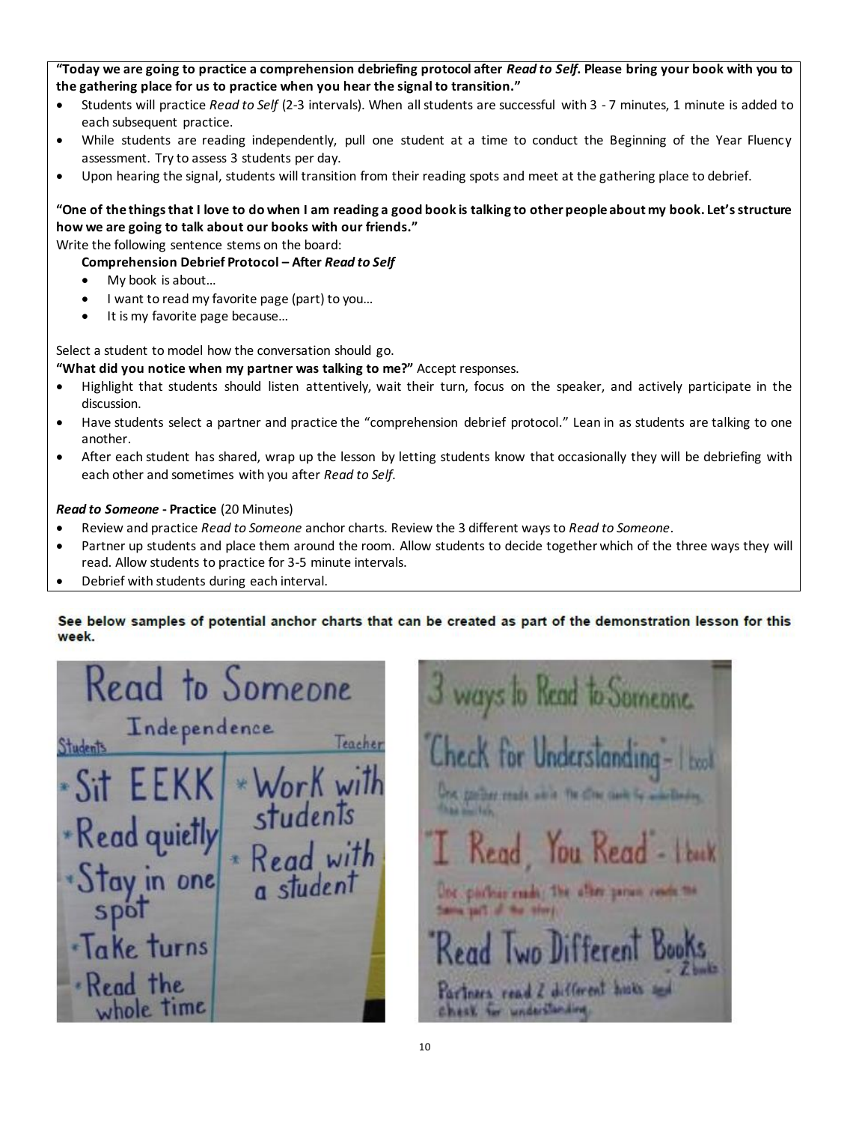### **"Today we are going to practice a comprehension debriefing protocol after** *Read to Self***. Please bring your book with you to the gathering place for us to practice when you hear the signal to transition."**

- Students will practice *Read to Self* (2-3 intervals). When all students are successful with 3 7 minutes, 1 minute is added to each subsequent practice.
- While students are reading independently, pull one student at a time to conduct the Beginning of the Year Fluency assessment. Try to assess 3 students per day.
- Upon hearing the signal, students will transition from their reading spots and meet at the gathering place to debrief.

# **"One of the things that I love to do when I am reading a good book is talking to other people about my book. Let's structure how we are going to talk about our books with our friends."**

Write the following sentence stems on the board:

### **Comprehension Debrief Protocol – After** *Read to Self*

- My book is about…
- I want to read my favorite page (part) to you…
- It is my favorite page because…

Select a student to model how the conversation should go.

**"What did you notice when my partner was talking to me?"** Accept responses.

- Highlight that students should listen attentively, wait their turn, focus on the speaker, and actively participate in the discussion.
- Have students select a partner and practice the "comprehension debrief protocol." Lean in as students are talking to one another.
- After each student has shared, wrap up the lesson by letting students know that occasionally they will be debriefing with each other and sometimes with you after *Read to Self*.

### *Read to Someone* **- Practice** (20 Minutes)

- Review and practice *Read to Someone* anchor charts. Review the 3 different ways to *Read to Someone*.
- Partner up students and place them around the room. Allow students to decide together which of the three ways they will read. Allow students to practice for 3-5 minute intervals.
- Debrief with students during each interval.

### See below samples of potential anchor charts that can be created as part of the demonstration lesson for this week.

Read to Someone Independence Teacher **Students** \*Read quietl Trum one DIB rns  $\n **the**\n$ Time

to Read to Someone over the reals were The officer classic *Charles House Labor* Kead Tou Kead for parleas esado The alter person rese Lavis of it is the sing Partners read 2 different hists and chesk for understanding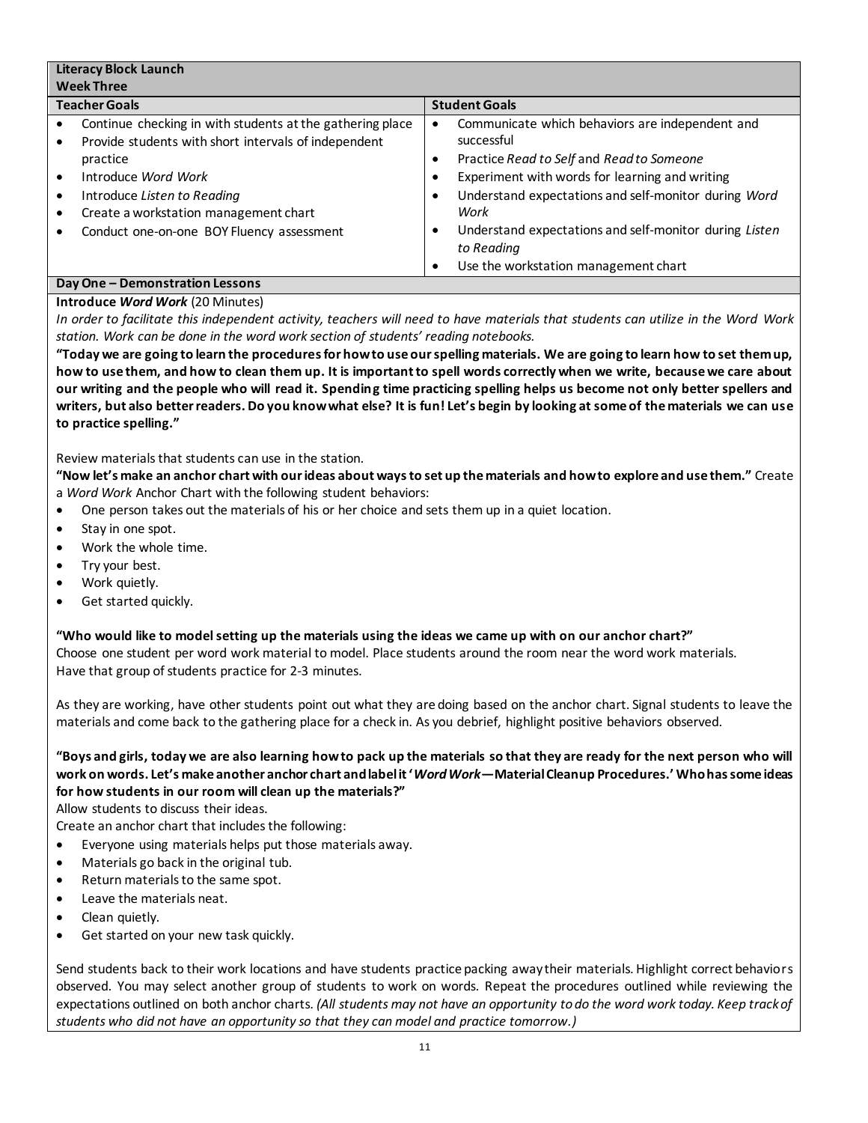| <b>Literacy Block Launch</b>                 |                                                                                                                                                                                                                                                                           |                                          |                                                                                                                                                                                                                                                                                                                                              |  |
|----------------------------------------------|---------------------------------------------------------------------------------------------------------------------------------------------------------------------------------------------------------------------------------------------------------------------------|------------------------------------------|----------------------------------------------------------------------------------------------------------------------------------------------------------------------------------------------------------------------------------------------------------------------------------------------------------------------------------------------|--|
| <b>Week Three</b>                            |                                                                                                                                                                                                                                                                           |                                          |                                                                                                                                                                                                                                                                                                                                              |  |
| <b>Teacher Goals</b><br><b>Student Goals</b> |                                                                                                                                                                                                                                                                           |                                          |                                                                                                                                                                                                                                                                                                                                              |  |
| ٠                                            | Continue checking in with students at the gathering place<br>Provide students with short intervals of independent<br>practice<br>Introduce Word Work<br>Introduce Listen to Reading<br>Create a workstation management chart<br>Conduct one-on-one BOY Fluency assessment | ٠<br>$\bullet$<br>$\bullet$<br>$\bullet$ | Communicate which behaviors are independent and<br>successful<br>Practice Read to Self and Read to Someone<br>Experiment with words for learning and writing<br>Understand expectations and self-monitor during Word<br>Work<br>Understand expectations and self-monitor during Listen<br>to Reading<br>Use the workstation management chart |  |
|                                              | .                                                                                                                                                                                                                                                                         |                                          |                                                                                                                                                                                                                                                                                                                                              |  |

#### **Day One – Demonstration Lessons Introduce** *Word Work* (20 Minutes)

*In order to facilitate this independent activity, teachers will need to have materials that students can utilize in the Word Work station. Work can be done in the word work section of students' reading notebooks.* 

**"Today we are going to learn the procedures for how to use our spelling materials. We are going to learn how to set them up, how to use them, and how to clean them up. It is important to spell words correctly when we write, because we care about our writing and the people who will read it. Spending time practicing spelling helps us become not only better spellers and writers, but also better readers. Do you know what else? It is fun! Let's begin by looking at some of the materials we can use to practice spelling."** 

Review materials that students can use in the station.

**"Now let's make an anchor chart with our ideas about ways to set up the materials and how to explore and use them."** Create a *Word Work* Anchor Chart with the following student behaviors:

One person takes out the materials of his or her choice and sets them up in a quiet location.

- Stay in one spot.
- Work the whole time.
- Try your best.
- Work quietly.
- Get started quickly.

**"Who would like to model setting up the materials using the ideas we came up with on our anchor chart?"**  Choose one student per word work material to model. Place students around the room near the word work materials. Have that group of students practice for 2-3 minutes.

As they are working, have other students point out what they are doing based on the anchor chart. Signal students to leave the materials and come back to the gathering place for a check in. As you debrief, highlight positive behaviors observed.

**"Boys and girls, today we are also learning how to pack up the materials so that they are ready for the next person who will work on words. Let's make another anchor chart and label it '***Word Work***—Material Cleanup Procedures.' Who has some ideas for how students in our room will clean up the materials?"** 

Allow students to discuss their ideas.

Create an anchor chart that includes the following:

- Everyone using materials helps put those materials away.
- Materials go back in the original tub.
- Return materials to the same spot.
- Leave the materials neat.
- Clean quietly.
- Get started on your new task quickly.

Send students back to their work locations and have students practice packing away their materials. Highlight correct behaviors observed. You may select another group of students to work on words. Repeat the procedures outlined while reviewing the expectations outlined on both anchor charts. *(All students may not have an opportunity to do the word work today. Keep track of students who did not have an opportunity so that they can model and practice tomorrow.)*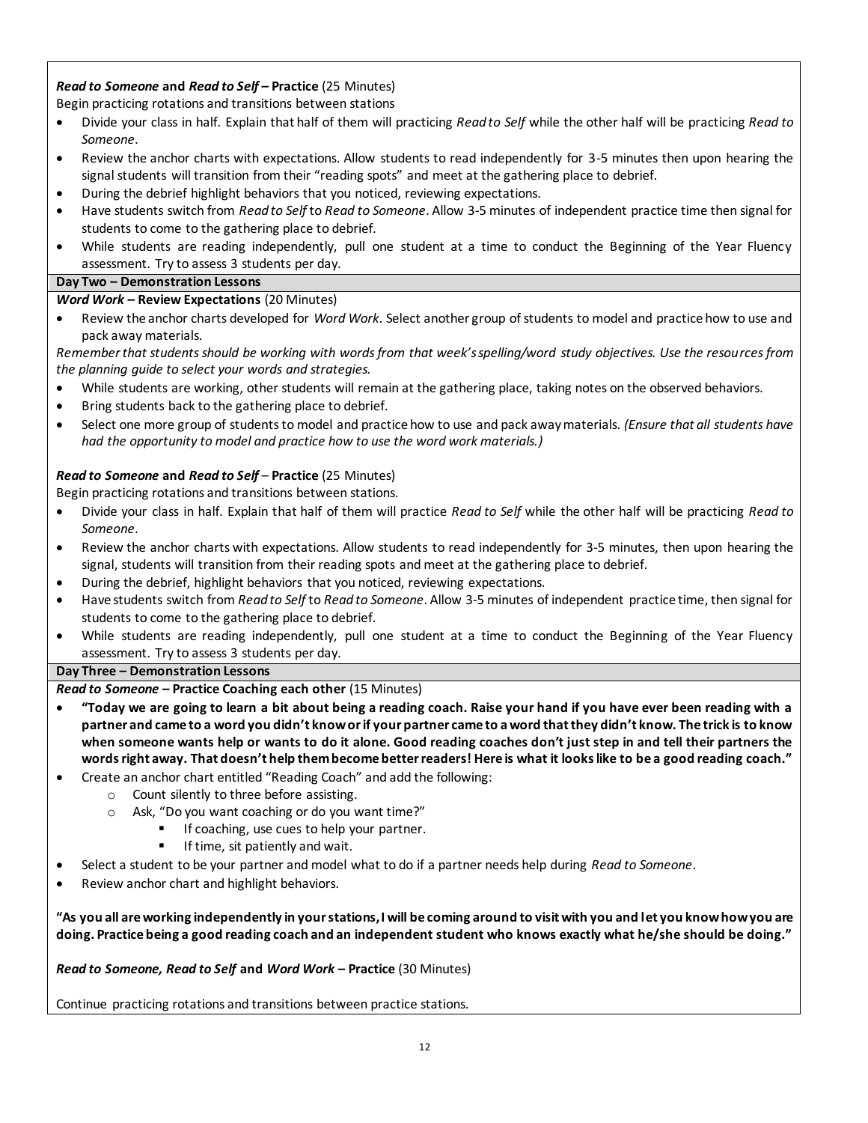# *Read to Someone* **and** *Read to Self* **– Practice** (25 Minutes)

Begin practicing rotations and transitions between stations

- Divide your class in half. Explain that half of them will practicing *Read to Self* while the other half will be practicing *Read to Someone*.
- Review the anchor charts with expectations. Allow students to read independently for 3-5 minutes then upon hearing the signal students will transition from their "reading spots" and meet at the gathering place to debrief.
- During the debrief highlight behaviors that you noticed, reviewing expectations.
- Have students switch from *Read to Self* to *Read to Someone*. Allow 3-5 minutes of independent practice time then signal for students to come to the gathering place to debrief.
- While students are reading independently, pull one student at a time to conduct the Beginning of the Year Fluency assessment. Try to assess 3 students per day.

### **Day Two – Demonstration Lessons**

### *Word Work* **– Review Expectations** (20 Minutes)

 Review the anchor charts developed for *Word Work*. Select another group of students to model and practice how to use and pack away materials.

*Remember that students should be working with words from that week's spelling/word study objectives. Use the resources from the planning guide to select your words and strategies.*

- While students are working, other students will remain at the gathering place, taking notes on the observed behaviors.
- Bring students back to the gathering place to debrief.
- Select one more group of students to model and practice how to use and pack away materials. *(Ensure that all students have had the opportunity to model and practice how to use the word work materials.)*

### *Read to Someone* **and** *Read to Self* – **Practice** (25 Minutes)

Begin practicing rotations and transitions between stations.

- Divide your class in half. Explain that half of them will practice *Read to Self* while the other half will be practicing *Read to Someone*.
- Review the anchor charts with expectations. Allow students to read independently for 3-5 minutes, then upon hearing the signal, students will transition from their reading spots and meet at the gathering place to debrief.
- During the debrief, highlight behaviors that you noticed, reviewing expectations.
- Have students switch from *Read to Self* to *Read to Someone*. Allow 3-5 minutes of independent practice time, then signal for students to come to the gathering place to debrief.
- While students are reading independently, pull one student at a time to conduct the Beginning of the Year Fluency assessment. Try to assess 3 students per day.

### **Day Three – Demonstration Lessons**

### *Read to Someone* **– Practice Coaching each other** (15 Minutes)

- **"Today we are going to learn a bit about being a reading coach. Raise your hand if you have ever been reading with a partner and came to a word you didn't know or if your partner came to a word that they didn't know. The trick is to know when someone wants help or wants to do it alone. Good reading coaches don't just step in and tell their partners the words right away. That doesn't help them become better readers! Here is what it looks like to be a good reading coach."**
- Create an anchor chart entitled "Reading Coach" and add the following:
	- o Count silently to three before assisting.
	- o Ask, "Do you want coaching or do you want time?"
		- If coaching, use cues to help your partner.
		- $\blacksquare$  If time, sit patiently and wait.
- Select a student to be your partner and model what to do if a partner needs help during *Read to Someone*.
- Review anchor chart and highlight behaviors.

**"As you all are working independently in your stations, I will be coming around to visit with you and let you know how you are doing. Practice being a good reading coach and an independent student who knows exactly what he/she should be doing."** 

*Read to Someone, Read to Self* **and** *Word Work* **– Practice** (30 Minutes)

Continue practicing rotations and transitions between practice stations.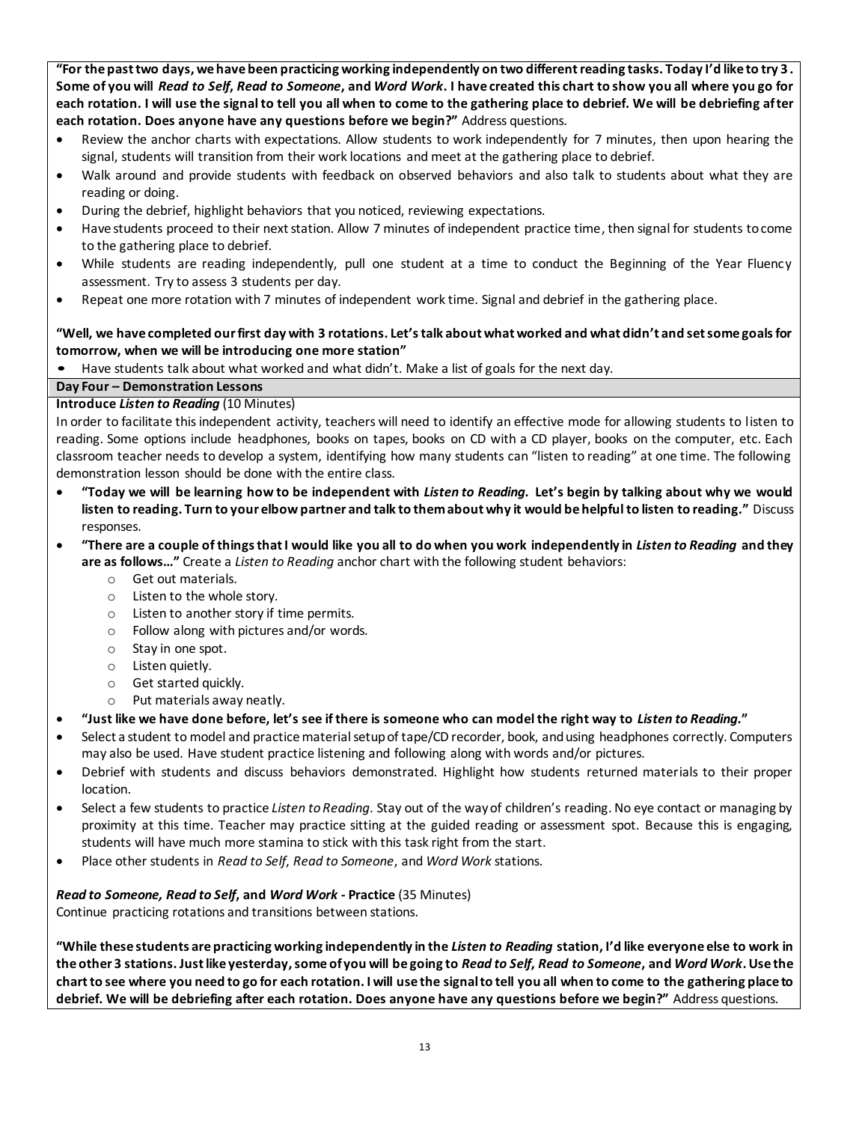**"For the past two days, we have been practicing working independently on two different reading tasks. Today I'd like to try 3 . Some of you will** *Read to Self***,** *Read to Someone***, and** *Word Work***. I have created this chart to show you all where you go for each rotation. I will use the signal to tell you all when to come to the gathering place to debrief. We will be debriefing after each rotation. Does anyone have any questions before we begin?"** Address questions.

- Review the anchor charts with expectations. Allow students to work independently for 7 minutes, then upon hearing the signal, students will transition from their work locations and meet at the gathering place to debrief.
- Walk around and provide students with feedback on observed behaviors and also talk to students about what they are reading or doing.
- During the debrief, highlight behaviors that you noticed, reviewing expectations.
- Have students proceed to their next station. Allow 7 minutes of independent practice time, then signal for students to come to the gathering place to debrief.
- While students are reading independently, pull one student at a time to conduct the Beginning of the Year Fluency assessment. Try to assess 3 students per day.
- Repeat one more rotation with 7 minutes of independent work time. Signal and debrief in the gathering place.

### **"Well, we have completed our first day with 3 rotations. Let's talk about what worked and what didn't and set some goals for tomorrow, when we will be introducing one more station"**

• Have students talk about what worked and what didn't. Make a list of goals for the next day.

### **Day Four – Demonstration Lessons**

### **Introduce** *Listen to Reading* (10 Minutes)

In order to facilitate this independent activity, teachers will need to identify an effective mode for allowing students to listen to reading. Some options include headphones, books on tapes, books on CD with a CD player, books on the computer, etc. Each classroom teacher needs to develop a system, identifying how many students can "listen to reading" at one time. The following demonstration lesson should be done with the entire class.

- **"Today we will be learning how to be independent with** *Listen to Reading***. Let's begin by talking about why we would listen to reading. Turn to your elbow partner and talk to them about why it would be helpful to listen to reading."** Discuss responses.
- **"There are a couple of things that I would like you all to do when you work independently in** *Listen to Reading* **and they are as follows…"** Create a *Listen to Reading* anchor chart with the following student behaviors:
	- o Get out materials.
	- o Listen to the whole story.
	- o Listen to another story if time permits.
	- o Follow along with pictures and/or words.
	- o Stay in one spot.
	- o Listen quietly.
	- o Get started quickly.
	- o Put materials away neatly.

### **"Just like we have done before, let's see if there is someone who can model the right way to** *Listen to Reading***."**

- Select a student to model and practice material setup of tape/CD recorder, book, and using headphones correctly. Computers may also be used. Have student practice listening and following along with words and/or pictures.
- Debrief with students and discuss behaviors demonstrated. Highlight how students returned materials to their proper location.
- Select a few students to practice *Listen to Reading*. Stay out of the way of children's reading. No eye contact or managing by proximity at this time. Teacher may practice sitting at the guided reading or assessment spot. Because this is engaging, students will have much more stamina to stick with this task right from the start.
- Place other students in *Read to Self*, *Read to Someone*, and *Word Work* stations.

# *Read to Someone, Read to Self***, and** *Word Work* **- Practice** (35 Minutes)

Continue practicing rotations and transitions between stations.

**"While these students are practicing working independently in the** *Listen to Reading* **station, I'd like everyone else to work in the other 3 stations. Just like yesterday, some of you will be going to** *Read to Self***,** *Read to Someone***, and** *Word Work***. Use the chart to see where you need to go for each rotation. I will use the signal to tell you all when to come to the gathering place to debrief. We will be debriefing after each rotation. Does anyone have any questions before we begin?"** Address questions.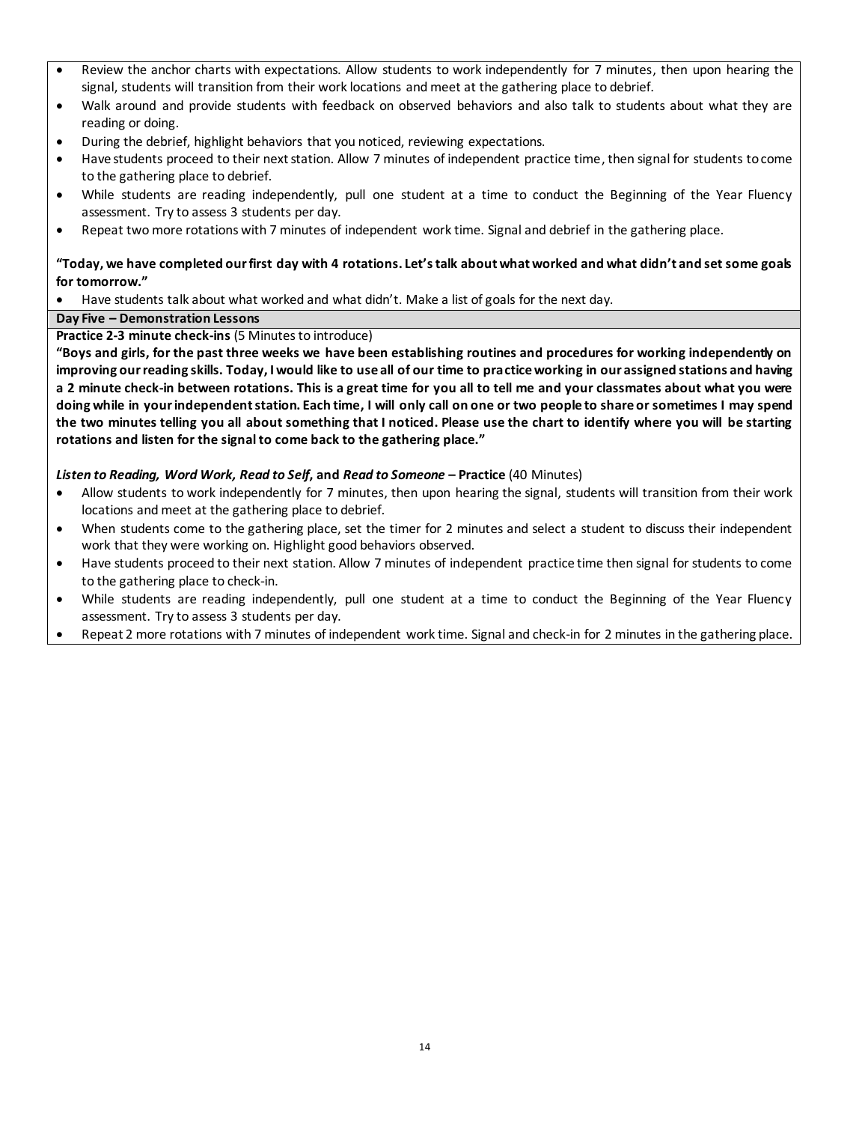- Review the anchor charts with expectations. Allow students to work independently for 7 minutes, then upon hearing the signal, students will transition from their work locations and meet at the gathering place to debrief.
- Walk around and provide students with feedback on observed behaviors and also talk to students about what they are reading or doing.
- During the debrief, highlight behaviors that you noticed, reviewing expectations.
- Have students proceed to their next station. Allow 7 minutes of independent practice time, then signal for students to come to the gathering place to debrief.
- While students are reading independently, pull one student at a time to conduct the Beginning of the Year Fluency assessment. Try to assess 3 students per day.
- Repeat two more rotations with 7 minutes of independent work time. Signal and debrief in the gathering place.

### **"Today, we have completed our first day with 4 rotations. Let's talk about what worked and what didn't and set some goals for tomorrow."**

Have students talk about what worked and what didn't. Make a list of goals for the next day.

### **Day Five – Demonstration Lessons**

**Practice 2-3 minute check-ins** (5 Minutes to introduce)

**"Boys and girls, for the past three weeks we have been establishing routines and procedures for working independently on improving our reading skills. Today, I would like to use all of our time to practice working in our assigned stations and having a 2 minute check-in between rotations. This is a great time for you all to tell me and your classmates about what you were doing while in your independent station. Each time, I will only call on one or two people to share or sometimes I may spend the two minutes telling you all about something that I noticed. Please use the chart to identify where you will be starting rotations and listen for the signal to come back to the gathering place."** 

### *Listen to Reading, Word Work, Read to Self***, and** *Read to Someone* **– Practice** (40 Minutes)

- Allow students to work independently for 7 minutes, then upon hearing the signal, students will transition from their work locations and meet at the gathering place to debrief.
- When students come to the gathering place, set the timer for 2 minutes and select a student to discuss their independent work that they were working on. Highlight good behaviors observed.
- Have students proceed to their next station. Allow 7 minutes of independent practice time then signal for students to come to the gathering place to check-in.
- While students are reading independently, pull one student at a time to conduct the Beginning of the Year Fluency assessment. Try to assess 3 students per day.
- Repeat 2 more rotations with 7 minutes of independent work time. Signal and check-in for 2 minutes in the gathering place.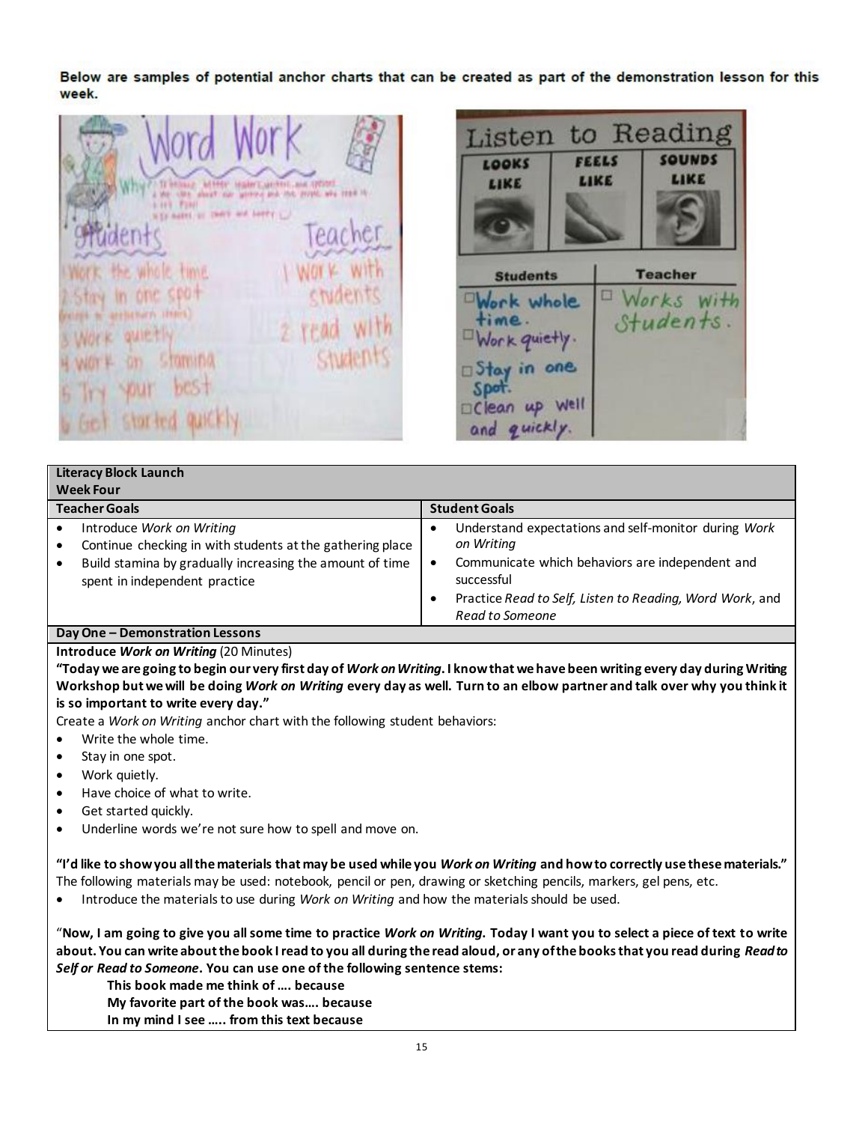Below are samples of potential anchor charts that can be created as part of the demonstration lesson for this week.

**ELL, José, 1277** more and this provide area read in to agest on more and bordy and in one spon arriterians about quietti



|                                              | <b>Literacy Block Launch</b>                                                                                                                                                        |                |                                                                                                                                                                                                                    |  |  |
|----------------------------------------------|-------------------------------------------------------------------------------------------------------------------------------------------------------------------------------------|----------------|--------------------------------------------------------------------------------------------------------------------------------------------------------------------------------------------------------------------|--|--|
|                                              | <b>Week Four</b>                                                                                                                                                                    |                |                                                                                                                                                                                                                    |  |  |
| <b>Teacher Goals</b><br><b>Student Goals</b> |                                                                                                                                                                                     |                |                                                                                                                                                                                                                    |  |  |
|                                              | Introduce Work on Writing<br>Continue checking in with students at the gathering place<br>Build stamina by gradually increasing the amount of time<br>spent in independent practice | ٠<br>$\bullet$ | Understand expectations and self-monitor during Work<br>on Writing<br>Communicate which behaviors are independent and<br>successful<br>Practice Read to Self, Listen to Reading, Word Work, and<br>Read to Someone |  |  |
|                                              | Dou One Demonstration Lessons                                                                                                                                                       |                |                                                                                                                                                                                                                    |  |  |

### **Day One – Demonstration Lessons**

#### **Introduce** *Work on Writing* (20 Minutes)

**"Today we are going to begin our very first day of** *Work on Writing***. I know that we have been writing every day during Writing Workshop but we will be doing** *Work on Writing* **every day as well. Turn to an elbow partner and talk over why you think it is so important to write every day."** 

Create a *Work on Writing* anchor chart with the following student behaviors:

- Write the whole time.
- Stay in one spot.
- Work quietly.
- Have choice of what to write.
- Get started quickly.
- Underline words we're not sure how to spell and move on.

**"I'd like to show you all the materials that may be used while you** *Work on Writing* **and how to correctly use these materials."**  The following materials may be used: notebook, pencil or pen, drawing or sketching pencils, markers, gel pens, etc.

Introduce the materials to use during *Work on Writing* and how the materials should be used.

"**Now, I am going to give you all some time to practice** *Work on Writing***. Today I want you to select a piece of text to write about. You can write about the book I read to you all during the read aloud, or any of the books that you read during** *Read to Self or Read to Someone***. You can use one of the following sentence stems:** 

**This book made me think of …. because** 

**My favorite part of the book was…. because In my mind I see ….. from this text because**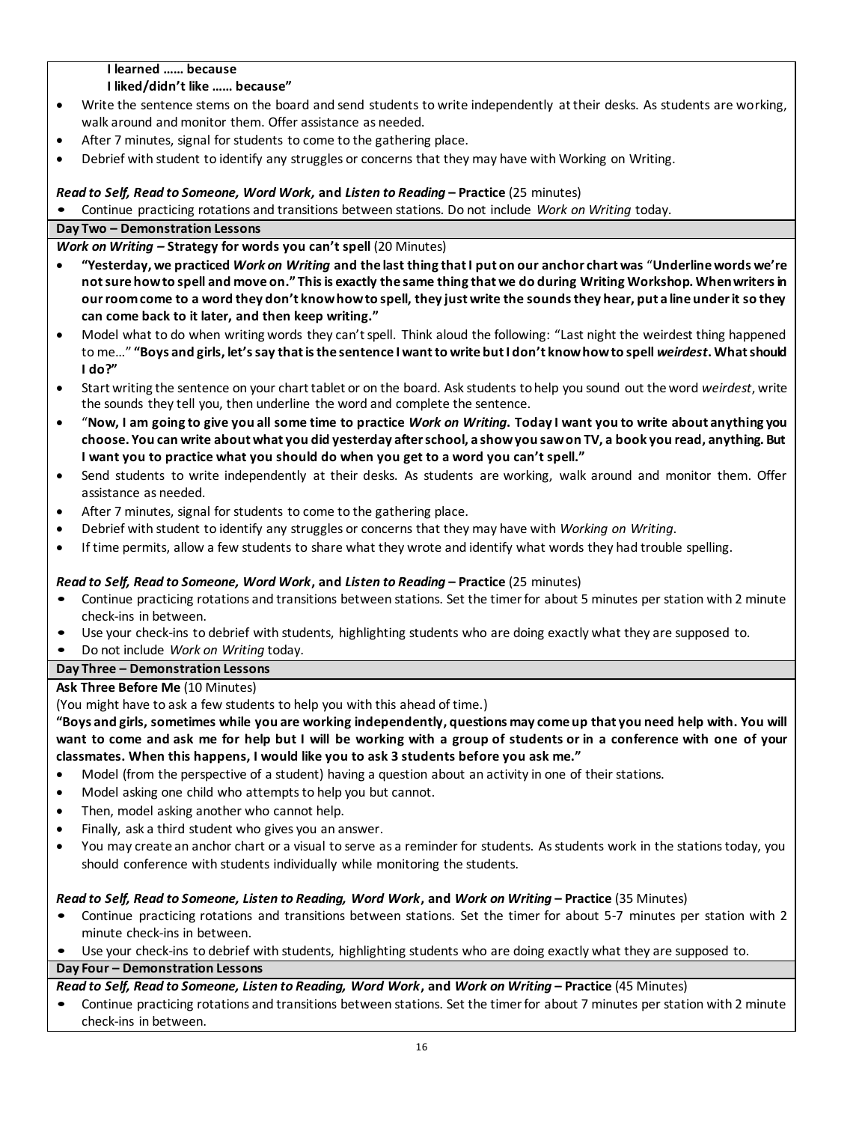### **I learned …… because**

### **I liked/didn't like …… because"**

- Write the sentence stems on the board and send students to write independently at their desks. As students are working, walk around and monitor them. Offer assistance as needed.
- After 7 minutes, signal for students to come to the gathering place.
- Debrief with student to identify any struggles or concerns that they may have with Working on Writing.

# *Read to Self, Read to Someone, Word Work,* **and** *Listen to Reading* **– Practice** (25 minutes)

• Continue practicing rotations and transitions between stations. Do not include *Work on Writing* today.

# **Day Two – Demonstration Lessons**

*Work on Writing –* **Strategy for words you can't spell** (20 Minutes)

- **"Yesterday, we practiced** *Work on Writing* **and the last thing that I put on our anchor chart was** "**Underline words we're not sure how to spell and move on." This is exactly the same thing that we do during Writing Workshop. When writers in our room come to a word they don't know how to spell, they just write the sounds they hear, put a line under it so they can come back to it later, and then keep writing."**
- Model what to do when writing words they can't spell. Think aloud the following: "Last night the weirdest thing happened to me…" **"Boys and girls, let's say that is the sentence I want to write but I don't know how to spell** *weirdest***. What should I do?"**
- Start writing the sentence on your chart tablet or on the board. Ask students to help you sound out the word *weirdest*, write the sounds they tell you, then underline the word and complete the sentence.
- "**Now, I am going to give you all some time to practice** *Work on Writing***. Today I want you to write about anything you choose. You can write about what you did yesterday after school, a show you saw on TV, a book you read, anything. But I want you to practice what you should do when you get to a word you can't spell."**
- Send students to write independently at their desks. As students are working, walk around and monitor them. Offer assistance as needed.
- After 7 minutes, signal for students to come to the gathering place.
- Debrief with student to identify any struggles or concerns that they may have with *Working on Writing*.
- If time permits, allow a few students to share what they wrote and identify what words they had trouble spelling.

# *Read to Self, Read to Someone, Word Work***, and** *Listen to Reading* **– Practice** (25 minutes)

- Continue practicing rotations and transitions between stations. Set the timer for about 5 minutes per station with 2 minute check-ins in between.
- Use your check-ins to debrief with students, highlighting students who are doing exactly what they are supposed to.
- Do not include *Work on Writing* today.

# **Day Three – Demonstration Lessons**

# **Ask Three Before Me** (10 Minutes)

(You might have to ask a few students to help you with this ahead of time.)

**"Boys and girls, sometimes while you are working independently, questions may come up that you need help with. You will want to come and ask me for help but I will be working with a group of students or in a conference with one of your classmates. When this happens, I would like you to ask 3 students before you ask me."** 

- Model (from the perspective of a student) having a question about an activity in one of their stations.
- Model asking one child who attempts to help you but cannot.
- Then, model asking another who cannot help.
- Finally, ask a third student who gives you an answer.
- You may create an anchor chart or a visual to serve as a reminder for students. As students work in the stations today, you should conference with students individually while monitoring the students.

# *Read to Self, Read to Someone, Listen to Reading, Word Work***, and** *Work on Writing* **– Practice** (35 Minutes)

- Continue practicing rotations and transitions between stations. Set the timer for about 5-7 minutes per station with 2 minute check-ins in between.
- Use your check-ins to debrief with students, highlighting students who are doing exactly what they are supposed to.

# **Day Four – Demonstration Lessons**

# *Read to Self, Read to Someone, Listen to Reading, Word Work***, and** *Work on Writing* **– Practice** (45 Minutes)

• Continue practicing rotations and transitions between stations. Set the timer for about 7 minutes per station with 2 minute check-ins in between.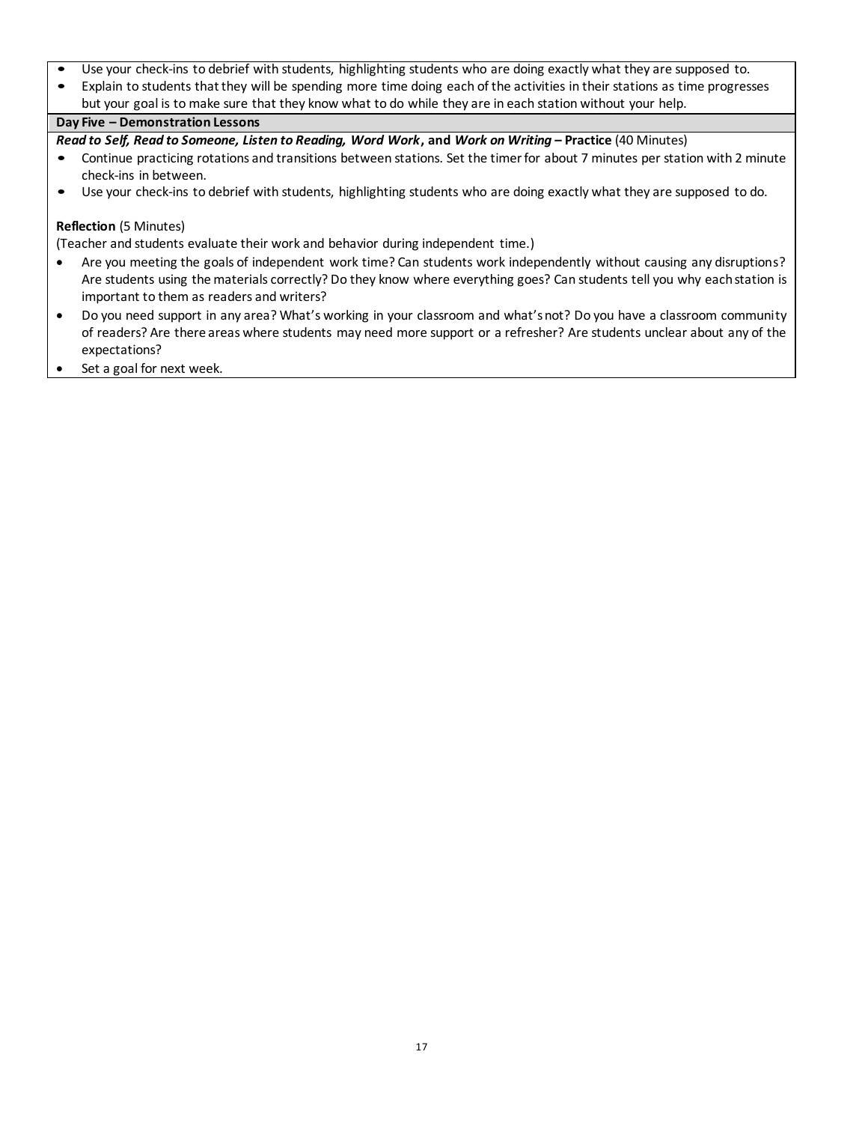- Use your check-ins to debrief with students, highlighting students who are doing exactly what they are supposed to.
- Explain to students that they will be spending more time doing each of the activities in their stations as time progresses but your goal is to make sure that they know what to do while they are in each station without your help.

### **Day Five – Demonstration Lessons**

*Read to Self, Read to Someone, Listen to Reading, Word Work***, and** *Work on Writing* **– Practice** (40 Minutes)

- Continue practicing rotations and transitions between stations. Set the timer for about 7 minutes per station with 2 minute check-ins in between.
- Use your check-ins to debrief with students, highlighting students who are doing exactly what they are supposed to do.

### **Reflection** (5 Minutes)

(Teacher and students evaluate their work and behavior during independent time.)

- Are you meeting the goals of independent work time? Can students work independently without causing any disruptions? Are students using the materials correctly? Do they know where everything goes? Can students tell you why each station is important to them as readers and writers?
- Do you need support in any area? What's working in your classroom and what's not? Do you have a classroom community of readers? Are there areas where students may need more support or a refresher? Are students unclear about any of the expectations?
- Set a goal for next week.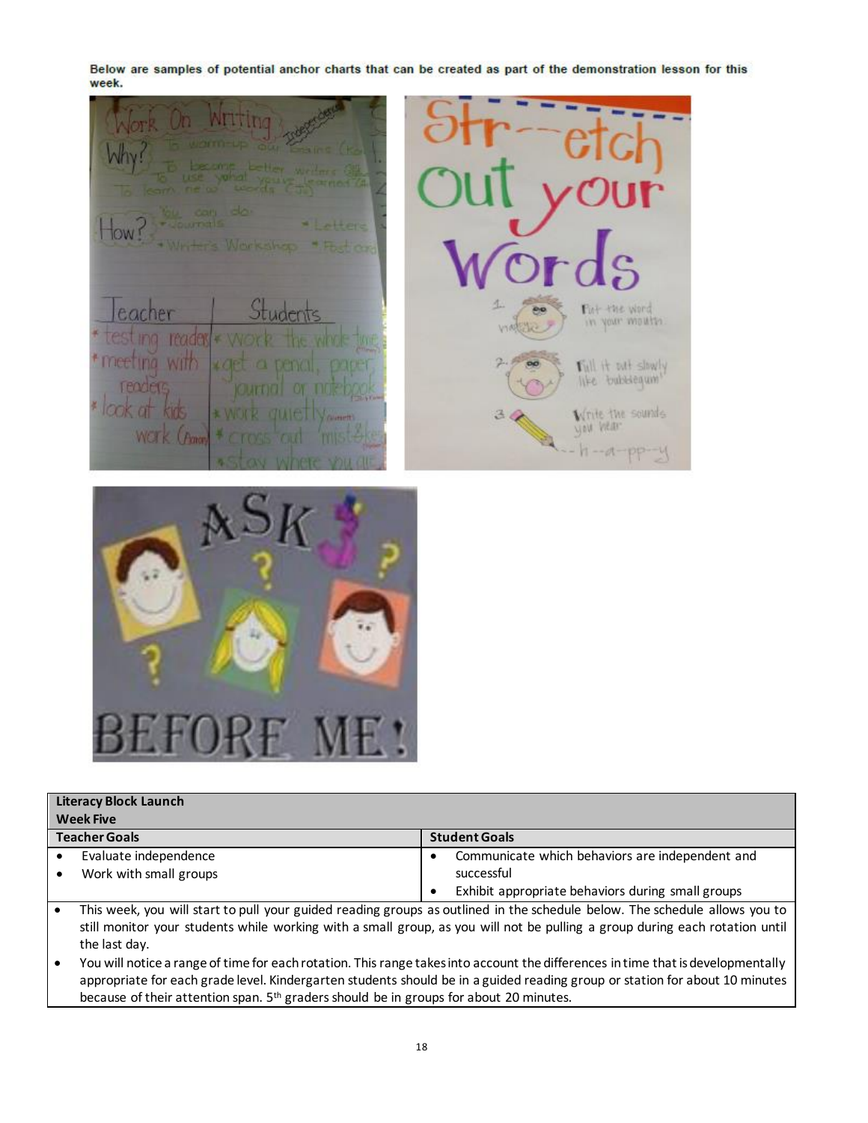Below are samples of potential anchor charts that can be created as part of the demonstration lesson for this week.

TOW! Pint the word 7ł e. eacher reader × Will it out slowly TIG WILL CO Write the sounds α e Vi you veer WEITK (Pan  $h - d - pp - q$ 



|                  | <b>Literacy Block Launch</b>                                                                                                                                                                                                                                    |           |                                                   |  |
|------------------|-----------------------------------------------------------------------------------------------------------------------------------------------------------------------------------------------------------------------------------------------------------------|-----------|---------------------------------------------------|--|
| <b>Week Five</b> |                                                                                                                                                                                                                                                                 |           |                                                   |  |
|                  | <b>Teacher Goals</b>                                                                                                                                                                                                                                            |           | <b>Student Goals</b>                              |  |
|                  | Evaluate independence                                                                                                                                                                                                                                           | $\bullet$ | Communicate which behaviors are independent and   |  |
|                  | Work with small groups                                                                                                                                                                                                                                          |           | successful                                        |  |
|                  |                                                                                                                                                                                                                                                                 | ٠         | Exhibit appropriate behaviors during small groups |  |
|                  | This week, you will start to pull your guided reading groups as outlined in the schedule below. The schedule allows you to                                                                                                                                      |           |                                                   |  |
|                  | still monitor your students while working with a small group, as you will not be pulling a group during each rotation until                                                                                                                                     |           |                                                   |  |
|                  | the last day.                                                                                                                                                                                                                                                   |           |                                                   |  |
|                  | You will notice a range of time for each rotation. This range takes into account the differences in time that is developmentally<br>appropriate for each grade level. Kindergarten students should be in a guided reading group or station for about 10 minutes |           |                                                   |  |

because of their attention span. 5<sup>th</sup> graders should be in groups for about 20 minutes.